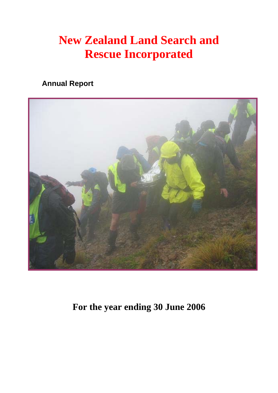# **New Zealand Land Search and Rescue Incorporated**

# **Annual Report**



**For the year ending 30 June 2006**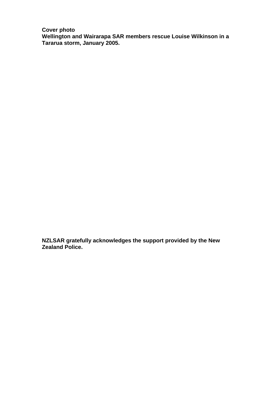**Cover photo Wellington and Wairarapa SAR members rescue Louise Wilkinson in a Tararua storm, January 2005.** 

**NZLSAR gratefully acknowledges the support provided by the New Zealand Police.**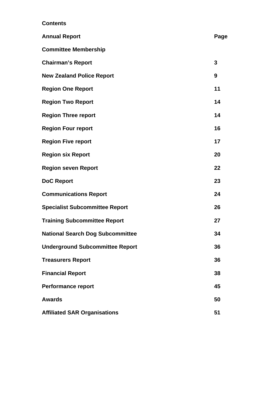## **Contents**

| <b>Annual Report</b>                    | Page |
|-----------------------------------------|------|
| <b>Committee Membership</b>             |      |
| <b>Chairman's Report</b>                | 3    |
| <b>New Zealand Police Report</b>        | 9    |
| <b>Region One Report</b>                | 11   |
| <b>Region Two Report</b>                | 14   |
| <b>Region Three report</b>              | 14   |
| <b>Region Four report</b>               | 16   |
| <b>Region Five report</b>               | 17   |
| <b>Region six Report</b>                | 20   |
| <b>Region seven Report</b>              | 22   |
| <b>DoC Report</b>                       | 23   |
| <b>Communications Report</b>            | 24   |
| <b>Specialist Subcommittee Report</b>   | 26   |
| <b>Training Subcommittee Report</b>     | 27   |
| <b>National Search Dog Subcommittee</b> | 34   |
| <b>Underground Subcommittee Report</b>  | 36   |
| <b>Treasurers Report</b>                | 36   |
| <b>Financial Report</b>                 | 38   |
| <b>Performance report</b>               | 45   |
| <b>Awards</b>                           | 50   |
| <b>Affiliated SAR Organisations</b>     | 51   |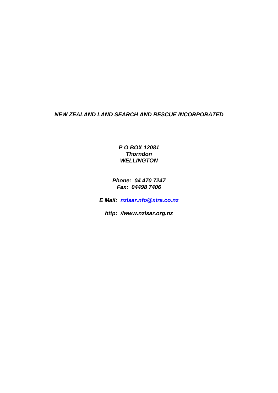## *NEW ZEALAND LAND SEARCH AND RESCUE INCORPORATED*

*P O BOX 12081 Thorndon WELLINGTON* 

*Phone: 04 470 7247 Fax: 04498 7406* 

*E Mail: [nzlsar.nfo@xtra.co.nz](mailto:nzlsar.nfo@xtra.co.nz)*

*http: //www.nzlsar.org.nz*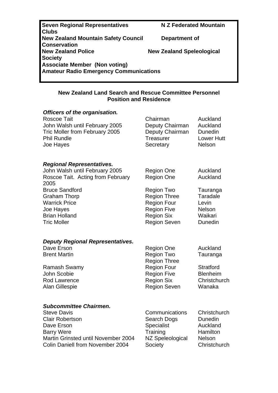**Seven Regional Representatives M Z Federated Mountain Clubs New Zealand Mountain Safety Council Department of Conservation New Zealand Speleological Society Associate Member (Non voting) Amateur Radio Emergency Communications** 

## **New Zealand Land Search and Rescue Committee Personnel Position and Residence**

| Officers of the organisation.                                    |                                           |                        |
|------------------------------------------------------------------|-------------------------------------------|------------------------|
| <b>Roscoe Tait</b>                                               | Chairman                                  | Auckland               |
| John Walsh until February 2005<br>Tric Moller from February 2005 | Deputy Chairman                           | Auckland<br>Dunedin    |
| <b>Phil Rundle</b>                                               | Deputy Chairman<br>Treasurer              | <b>Lower Hutt</b>      |
| Joe Hayes                                                        | Secretary                                 | <b>Nelson</b>          |
|                                                                  |                                           |                        |
| <b>Regional Representatives.</b>                                 |                                           |                        |
| John Walsh until February 2005                                   | <b>Region One</b>                         | Auckland               |
| Roscoe Tait. Acting from February                                | <b>Region One</b>                         | Auckland               |
| 2005                                                             |                                           |                        |
| <b>Bruce Sandford</b>                                            | Region Two                                | Tauranga<br>Taradale   |
| <b>Graham Thorp</b><br><b>Warrick Price</b>                      | <b>Region Three</b><br><b>Region Four</b> | Levin                  |
| Joe Hayes                                                        | <b>Region Five</b>                        | <b>Nelson</b>          |
| <b>Brian Holland</b>                                             | <b>Region Six</b>                         | Waikari                |
| <b>Tric Moller</b>                                               | <b>Region Seven</b>                       | Dunedin                |
|                                                                  |                                           |                        |
| <b>Deputy Regional Representatives.</b>                          |                                           |                        |
| Dave Erson                                                       | <b>Region One</b>                         | Auckland               |
| <b>Brent Martin</b>                                              | <b>Region Two</b>                         | Tauranga               |
|                                                                  | <b>Region Three</b>                       |                        |
| <b>Ramash Swamy</b>                                              | <b>Region Four</b>                        | <b>Stratford</b>       |
| John Scobie                                                      | <b>Region Five</b>                        | <b>Blenheim</b>        |
| <b>Rod Lawrence</b>                                              | <b>Region Six</b>                         | Christchurch<br>Wanaka |
| <b>Alan Gillespie</b>                                            | <b>Region Seven</b>                       |                        |
| <b>Subcommittee Chairmen.</b>                                    |                                           |                        |
| <b>Steve Davis</b>                                               | Communications                            | Christchurch           |
| <b>Clair Robertson</b>                                           | Search Dogs                               | Dunedin                |
| Dave Erson                                                       | Specialist                                | Auckland               |
| <b>Barry Were</b>                                                | Training                                  | Hamilton               |
| Martin Grinsted until November 2004                              | NZ Speleological                          | Nelson                 |
| <b>Colin Daniell from November 2004</b>                          | Society                                   | Christchurch           |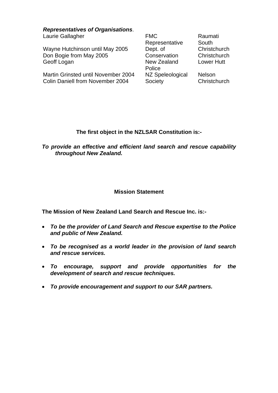*Representatives of Organisations*. Laurie Gallagher FMC

Wayne Hutchinson until May 2005 Don Bogie from May 2005 Geoff Logan New Zealand

Martin Grinsted until November 2004 Colin Daniell from November 2004

Representative Dept. of **Conservation Police** NZ Speleological **Society** 

Raumati **South Christchurch Christchurch** Lower Hutt

Nelson **Christchurch** 

## **The first object in the NZLSAR Constitution is:-**

*To provide an effective and efficient land search and rescue capability throughout New Zealand.* 

## **Mission Statement**

**The Mission of New Zealand Land Search and Rescue Inc. is:-** 

- *To be the provider of Land Search and Rescue expertise to the Police and public of New Zealand.*
- *To be recognised as a world leader in the provision of land search and rescue services.*
- *To encourage, support and provide opportunities for the development of search and rescue techniques.*
- *To provide encouragement and support to our SAR partners.*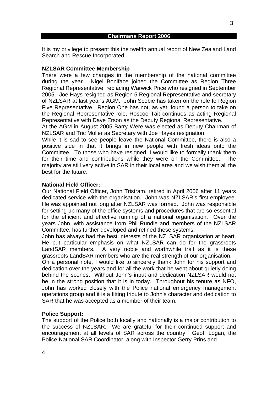It is my privilege to present this the twelfth annual report of New Zealand Land Search and Rescue Incorporated.

#### **NZLSAR Committee Membership**

There were a few changes in the membership of the national committee during the year. Nigel Boniface joined the Committee as Region Three Regional Representative, replacing Warwick Price who resigned in September 2005. Joe Hays resigned as Region 5 Regional Representative and secretary of NZLSAR at last year's AGM. John Scobie has taken on the role fo Region Five Representative. Region One has not, as yet, found a person to take on the Regional Representative role, Roscoe Tait continues as acting Regional Representative with Dave Erson as the Deputy Regional Representative.

At the AGM in August 2005 Barry Were was elected as Deputy Chairman of NZLSAR and Tric Moller as Secretary with Joe Hayes resignation.

While it is sad to see people leave the National Committee, there is also a positive side in that it brings in new people with fresh ideas onto the Committee. To those who have resigned, I would like to formally thank them for their time and contributions while they were on the Committee. The majority are still very active in SAR in their local area and we wish them all the best for the future.

#### **National Field Officer:**

Our National Field Officer, John Tristram, retired in April 2006 after 11 years dedicated service with the organisation. John was NZLSAR's first employee. He was appointed not long after NZLSAR was formed. John was responsible for setting up many of the office systems and procedures that are so essential for the efficient and effective running of a national organisation. Over the years John, with assistance from Phil Rundle and members of the NZLSAR Committee, has further developed and refined these systems.

John has always had the best interests of the NZLSAR organisation at heart. He put particular emphasis on what NZLSAR can do for the grassroots LandSAR members. A very noble and worthwhile trait as it is these grassroots LandSAR members who are the real strength of our organisation.

On a personal note, I would like to sincerely thank John for his support and dedication over the years and for all the work that he went about quietly doing behind the scenes. Without John's input and dedication NZLSAR would not be in the strong position that it is in today. Throughout his tenure as NFO, John has worked closely with the Police national emergency management operations group and it is a fitting tribute to John's character and dedication to SAR that he was accepted as a member of their team.

#### **Police Support:**

The support of the Police both locally and nationally is a major contribution to the success of NZLSAR. We are grateful for their continued support and encouragement at all levels of SAR across the country. Geoff Logan, the Police National SAR Coordinator, along with Inspector Gerry Prins and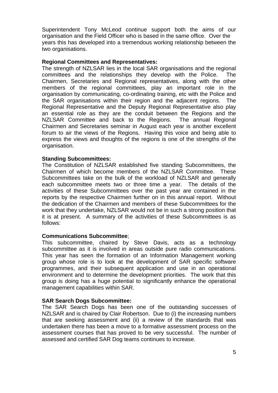Superintendent Tony McLeod continue support both the aims of our organisation and the Field Officer who is based in the same office. Over the years this has developed into a tremendous working relationship between the two organisations.

#### **Regional Committees and Representatives:**

The strength of NZLSAR lies in the local SAR organisations and the regional committees and the relationships they develop with the Police. The Chairmen, Secretaries and Regional representatives, along with the other members of the regional committees, play an important role in the organisation by communicating, co-ordinating training, etc with the Police and the SAR organisations within their region and the adjacent regions. The Regional Representative and the Deputy Regional Representative also play an essential role as they are the conduit between the Regions and the NZLSAR Committee and back to the Regions. The annual Regional Chairmen and Secretaries seminar in August each year is another excellent forum to air the views of the Regions. Having this voice and being able to express the views and thoughts of the regions is one of the strengths of the organisation.

#### **Standing Subcommittees:**

The Constitution of NZLSAR established five standing Subcommittees, the Chairmen of which become members of the NZLSAR Committee. These Subcommittees take on the bulk of the workload of NZLSAR and generally each subcommittee meets two or three time a year. The details of the activities of these Subcommittees over the past year are contained in the reports by the respective Chairmen further on in this annual report. Without the dedication of the Chairmen and members of these Subcommittees for the work that they undertake, NZLSAR would not be in such a strong position that it is at present. A summary of the activities of these Subcommittees is as follows:

## **Communications Subcommittee**;

This subcommittee, chaired by Steve Davis, acts as a technology subcommittee as it is involved in areas outside pure radio communications. This year has seen the formation of an Information Management working group whose role is to look at the development of SAR specific software programmes, and their subsequent application and use in an operational environment and to determine the development priorities. The work that this group is doing has a huge potential to significantly enhance the operational management capabilities within SAR.

## **SAR Search Dogs Subcommittee:**

The SAR Search Dogs has been one of the outstanding successes of NZLSAR and is chaired by Clair Robertson. Due to (i) the increasing numbers that are seeking assessment and (ii) a review of the standards that was undertaken there has been a move to a formative assessment process on the assessment courses that has proved to be very successful. The number of assessed and certified SAR Dog teams continues to increase.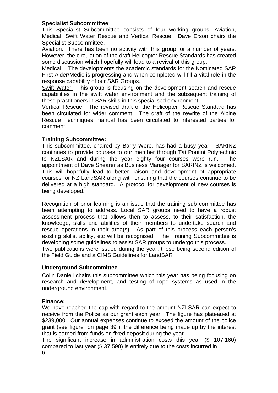## **Specialist Subcommittee**:

This Specialist Subcommittee consists of four working groups: Aviation, Medical, Swift Water Rescue and Vertical Rescue. Dave Erson chairs the Specialist Subcommittee.

Aviation: There has been no activity with this group for a number of years. However, the circulation of the draft Helicopter Rescue Standards has created some discussion which hopefully will lead to a revival of this group.

Medical: The developments the academic standards for the Nominated SAR First Aider/Medic is progressing and when completed will fill a vital role in the response capability of our SAR Groups.

Swift Water: This group is focusing on the development search and rescue capabilities in the swift water environment and the subsequent training of these practitioners in SAR skills in this specialised environment.

Vertical Rescue: The revised draft of the Helicopter Rescue Standard has been circulated for wider comment. The draft of the rewrite of the Alpine Rescue Techniques manual has been circulated to interested parties for comment.

## **Training Subcommittee:**

This subcommittee, chaired by Barry Were, has had a busy year. SARINZ continues to provide courses to our member through Tai Poutini Polytechnic to NZLSAR and during the year eighty four courses were run. The appointment of Dave Shearer as Business Manager for SARINZ is welcomed. This will hopefully lead to better liaison and development of appropriate courses for NZ LandSAR along with ensuring that the courses continue to be delivered at a high standard. A protocol for development of new courses is being developed.

Recognition of prior learning is an issue that the training sub committee has been attempting to address. Local SAR groups need to have a robust assessment process that allows then to assess, to their satisfaction, the knowledge, skills and abilities of their members to undertake search and rescue operations in their area(s). As part of this process each person's existing skills, ability, etc will be recognised. The Training Subcommittee is developing some guidelines to assist SAR groups to undergo this process.

Two publications were issued during the year, these being second edition of the Field Guide and a CIMS Guidelines for LandSAR

## **Underground Subcommittee**

Colin Daniell chairs this subcommittee which this year has being focusing on research and development, and testing of rope systems as used in the underground environment.

## **Finance:**

We have reached the cap with regard to the amount NZLSAR can expect to receive from the Police as our grant each year. The figure has plateaued at \$239,000. Our annual expenses continue to exceed the amount of the police grant (see figure on page 39 ), the difference being made up by the interest that is earned from funds on fixed deposit during the year.

The significant increase in administration costs this year (\$ 107,160) compared to last year (\$ 37,598) is entirely due to the costs incurred in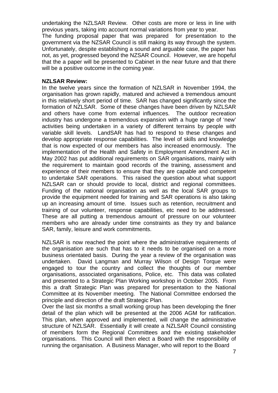undertaking the NZLSAR Review. Other costs are more or less in line with previous years, taking into account normal variations from year to year.

The funding proposal paper that was prepared for presentation to the government via the NZSAR Council is still making its way through the system. Unfortunately, despite establishing a sound and arguable case, the paper has not, as yet, progressed beyond the NZSAR Council. However, we are hopeful that the a paper will be presented to Cabinet in the near future and that there will be a positive outcome in the coming year.

#### **NZLSAR Review:**

In the twelve years since the formation of NZLSAR in November 1994, the organisation has grown rapidly, matured and achieved a tremendous amount in this relatively short period of time. SAR has changed significantly since the formation of NZLSAR. Some of these changes have been driven by NZLSAR and others have come from external influences. The outdoor recreation industry has undergone a tremendous expansion with a huge range of 'new' activities being undertaken in a variety of different terrains by people with variable skill levels. LandSAR has had to respond to these changes and develop appropriate response capabilities. The level of skills and knowledge that is now expected of our members has also increased enormously. The implementation of the Health and Safety in Employment Amendment Act in May 2002 has put additional requirements on SAR organisations, mainly with the requirement to maintain good records of the training, assessment and experience of their members to ensure that they are capable and competent to undertake SAR operations. This raised the question about what support NZLSAR can or should provide to local, district and regional committees. Funding of the national organisation as well as the local SAR groups to provide the equipment needed for training and SAR operations is also taking up an increasing amount of time. Issues such as retention, recruitment and training of our volunteer, response capabilities, etc need to be addressed. These are all putting a tremendous amount of pressure on our volunteer members who are already under time constraints as they try and balance SAR, family, leisure and work commitments.

NZLSAR is now reached the point where the administrative requirements of the organisation are such that has to it needs to be organised on a more business orientated basis. During the year a review of the organisation was undertaken. David Langman and Murray Wilson of Design Torque were engaged to tour the country and collect the thoughts of our member organisations, associated organisations, Police, etc. This data was collated and presented to a Strategic Plan Working workshop in October 2005. From this a draft Strategic Plan was prepared for presentation to the National Committee at its November meeting. The National Committee endorsed the principle and direction of the draft Strategic Plan.

Over the last six months a small working group has been developing the finer detail of the plan which will be presented at the 2006 AGM for ratification. This plan, when approved and implemented, will change the administrative structure of NZLSAR. Essentially it will create a NZLSAR Council consisting of members form the Regional Committees and the existing stakeholder organisations. This Council will then elect a Board with the responsibility of running the organisation. A Business Manager, who will report to the Board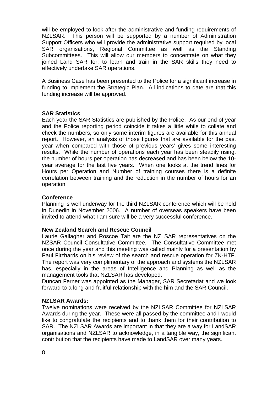will be employed to look after the administrative and funding requirements of NZLSAR. This person will be supported by a number of Administration Support Officers who will provide the administrative support required by local SAR organisations, Regional Committee as well as the Standing Subcommittees. This will allow our members to concentrate on what they joined Land SAR for: to learn and train in the SAR skills they need to effectively undertake SAR operations.

A Business Case has been presented to the Police for a significant increase in funding to implement the Strategic Plan. All indications to date are that this funding increase will be approved.

## **SAR Statistics**

Each year the SAR Statistics are published by the Police. As our end of year and the Police reporting period coincide it takes a little while to collate and check the numbers, so only some interim figures are available for this annual report. However, an analysis of those figures that are available for the past year when compared with those of previous years' gives some interesting results. While the number of operations each year has been steadily rising, the number of hours per operation has decreased and has been below the 10 year average for the last five years. When one looks at the trend lines for Hours per Operation and Number of training courses there is a definite correlation between training and the reduction in the number of hours for an operation.

#### **Conference**

Planning is well underway for the third NZLSAR conference which will be held in Dunedin in November 2006. A number of overseas speakers have been invited to attend what I am sure will be a very successful conference.

#### **New Zealand Search and Rescue Council**

Laurie Gallagher and Roscoe Tait are the NZLSAR representatives on the NZSAR Council Consultative Committee. The Consultative Committee met once during the year and this meeting was called mainly for a presentation by Paul Fitzharris on his review of the search and rescue operation for ZK-HTF. The report was very complimentary of the approach and systems the NZLSAR has, especially in the areas of Intelligence and Planning as well as the management tools that NZLSAR has developed.

Duncan Ferner was appointed as the Manager, SAR Secretariat and we look forward to a long and fruitful relationship with the him and the SAR Council.

#### **NZLSAR Awards:**

Twelve nominations were received by the NZLSAR Committee for NZLSAR Awards during the year. These were all passed by the committee and I would like to congratulate the recipients and to thank them for their contribution to SAR. The NZLSAR Awards are important in that they are a way for LandSAR organisations and NZLSAR to acknowledge, in a tangible way, the significant contribution that the recipients have made to LandSAR over many years.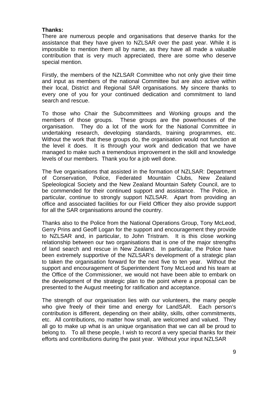#### **Thanks:**

There are numerous people and organisations that deserve thanks for the assistance that they have given to NZLSAR over the past year. While it is impossible to mention them all by name, as they have all made a valuable contribution that is very much appreciated, there are some who deserve special mention.

Firstly, the members of the NZLSAR Committee who not only give their time and input as members of the national Committee but are also active within their local, District and Regional SAR organisations. My sincere thanks to every one of you for your continued dedication and commitment to land search and rescue.

To those who Chair the Subcommittees and Working groups and the members of those groups. These groups are the powerhouses of the organisation. They do a lot of the work for the National Committee in undertaking research, developing standards, training programmes, etc. Without the work that these groups do, the organisation would not function at the level it does. It is through your work and dedication that we have managed to make such a tremendous improvement in the skill and knowledge levels of our members. Thank you for a job well done.

The five organisations that assisted in the formation of NZLSAR: Department of Conservation, Police, Federated Mountain Clubs, New Zealand Speleological Society and the New Zealand Mountain Safety Council, are to be commended for their continued support and assistance. The Police, in particular, continue to strongly support NZLSAR. Apart from providing an office and associated facilities for our Field Officer they also provide support for all the SAR organisations around the country.

Thanks also to the Police from the National Operations Group, Tony McLeod, Gerry Prins and Geoff Logan for the support and encouragement they provide to NZLSAR and, in particular, to John Tristram. It is this close working relationship between our two organisations that is one of the major strengths of land search and rescue in New Zealand. In particular, the Police have been extremely supportive of the NZLSAR's development of a strategic plan to taken the organisation forward for the next five to ten year. Without the support and encouragement of Superintendent Tony McLeod and his team at the Office of the Commissioner, we would not have been able to embark on the development of the strategic plan to the point where a proposal can be presented to the August meeting for ratification and acceptance.

The strength of our organisation lies with our volunteers, the many people who give freely of their time and energy for LandSAR. Each person's contribution is different, depending on their ability, skills, other commitments, etc. All contributions, no matter how small, are welcomed and valued. They all go to make up what is an unique organisation that we can all be proud to belong to. To all these people, I wish to record a very special thanks for their efforts and contributions during the past year. Without your input NZLSAR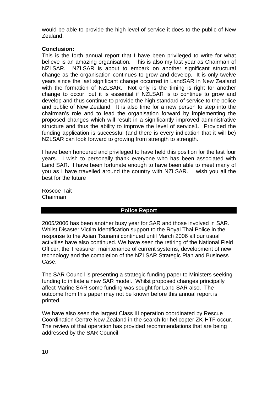would be able to provide the high level of service it does to the public of New Zealand.

## **Conclusion:**

This is the forth annual report that I have been privileged to write for what believe is an amazing organisation. This is also my last year as Chairman of NZLSAR. NZLSAR is about to embark on another significant structural change as the organisation continues to grow and develop. It is only twelve years since the last significant change occurred in LandSAR in New Zealand with the formation of NZLSAR. Not only is the timing is right for another change to occur, but it is essential if NZLSAR is to continue to grow and develop and thus continue to provide the high standard of service to the police and public of New Zealand. It is also time for a new person to step into the chairman's role and to lead the organisation forward by implementing the proposed changes which will result in a significantly improved administrative structure and thus the ability to improve the level of service1. Provided the funding application is successful (and there is every indication that it will be) NZLSAR can look forward to growing from strength to strength.

I have been honoured and privileged to have held this position for the last four years. I wish to personally thank everyone who has been associated with Land SAR. I have been fortunate enough to have been able to meet many of you as I have travelled around the country with NZLSAR. I wish you all the best for the future

Roscoe Tait Chairman

## **Police Report**

2005/2006 has been another busy year for SAR and those involved in SAR. Whilst Disaster Victim Identification support to the Royal Thai Police in the response to the Asian Tsunami continued until March 2006 all our usual activities have also continued. We have seen the retiring of the National Field Officer, the Treasurer, maintenance of current systems, development of new technology and the completion of the NZLSAR Strategic Plan and Business Case.

The SAR Council is presenting a strategic funding paper to Ministers seeking funding to initiate a new SAR model. Whilst proposed changes principally affect Marine SAR some funding was sought for Land SAR also. The outcome from this paper may not be known before this annual report is printed.

We have also seen the largest Class III operation coordinated by Rescue Coordination Centre New Zealand in the search for helicopter ZK-HTF occur. The review of that operation has provided recommendations that are being addressed by the SAR Council.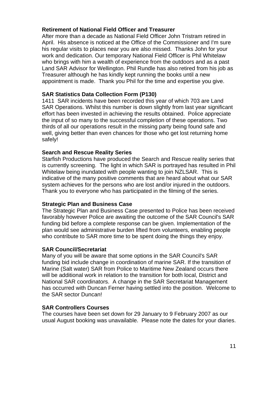## **Retirement of National Field Officer and Treasurer**

After more than a decade as National Field Officer John Tristram retired in April. His absence is noticed at the Office of the Commissioner and I'm sure his regular visits to places near you are also missed. Thanks John for your work and dedication. Our temporary National Field Officer is Phil Whitelaw who brings with him a wealth of experience from the outdoors and as a past Land SAR Advisor for Wellington. Phil Rundle has also retired from his job as Treasurer although he has kindly kept running the books until a new appointment is made. Thank you Phil for the time and expertise you give.

## **SAR Statistics Data Collection Form (P130)**

1411 SAR incidents have been recorded this year of which 703 are Land SAR Operations. Whilst this number is down slightly from last year significant effort has been invested in achieving the results obtained. Police appreciate the input of so many to the successful completion of these operations. Two thirds of all our operations result in the missing party being found safe and well, giving better than even chances for those who get lost returning home safely!

## **Search and Rescue Reality Series**

Starfish Productions have produced the Search and Rescue reality series that is currently screening. The light in which SAR is portrayed has resulted in Phil Whitelaw being inundated with people wanting to join NZLSAR. This is indicative of the many positive comments that are heard about what our SAR system achieves for the persons who are lost and/or injured in the outdoors. Thank you to everyone who has participated in the filming of the series.

## **Strategic Plan and Business Case**

The Strategic Plan and Business Case presented to Police has been received favorably however Police are awaiting the outcome of the SAR Council's SAR funding bid before a complete response can be given. Implementation of the plan would see administrative burden lifted from volunteers, enabling people who contribute to SAR more time to be spent doing the things they enjoy.

## **SAR Council/Secretariat**

Many of you will be aware that some options in the SAR Council's SAR funding bid include change in coordination of marine SAR. If the transition of Marine (Salt water) SAR from Police to Maritime New Zealand occurs there will be additional work in relation to the transition for both local, District and National SAR coordinators. A change in the SAR Secretariat Management has occurred with Duncan Ferner having settled into the position. Welcome to the SAR sector Duncan!

## **SAR Controllers Courses**

The courses have been set down for 29 January to 9 February 2007 as our usual August booking was unavailable. Please note the dates for your diaries.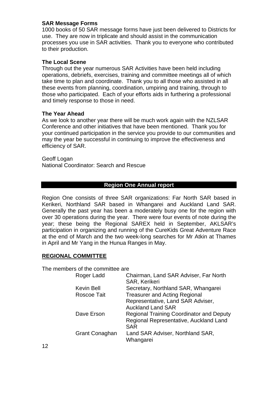## **SAR Message Forms**

1000 books of 50 SAR message forms have just been delivered to Districts for use. They are now in triplicate and should assist in the communication processes you use in SAR activities. Thank you to everyone who contributed to their production.

#### **The Local Scene**

Through out the year numerous SAR Activities have been held including operations, debriefs, exercises, training and committee meetings all of which take time to plan and coordinate. Thank you to all those who assisted in all these events from planning, coordination, umpiring and training, through to those who participated. Each of your efforts aids in furthering a professional and timely response to those in need.

## **The Year Ahead**

As we look to another year there will be much work again with the NZLSAR Conference and other initiatives that have been mentioned. Thank you for your continued participation in the service you provide to our communities and may the year be successful in continuing to improve the effectiveness and efficiency of SAR.

Geoff Logan National Coordinator: Search and Rescue

#### **Region One Annual report**

Region One consists of three SAR organizations: Far North SAR based in Kerikeri, Northland SAR based in Whangarei and Auckland Land SAR. Generally the past year has been a moderately busy one for the region with over 30 operations during the year. There were four events of note during the year; these being the Regional SAREX held in September, AKLSAR's participation in organizing and running of the CureKids Great Adventure Race at the end of March and the two week-long searches for Mr Atkin at Thames in April and Mr Yang in the Hunua Ranges in May.

## **REGIONAL COMMITTEE**

The members of the committee are

| Roger Ladd            | Chairman, Land SAR Adviser, Far North<br><b>SAR, Kerikeri</b> |
|-----------------------|---------------------------------------------------------------|
| <b>Kevin Bell</b>     | Secretary, Northland SAR, Whangarei                           |
| Roscoe Tait           | <b>Treasurer and Acting Regional</b>                          |
|                       | Representative, Land SAR Adviser,                             |
|                       | <b>Auckland Land SAR</b>                                      |
| Dave Erson            | <b>Regional Training Coordinator and Deputy</b>               |
|                       | Regional Representative, Auckland Land                        |
|                       | <b>SAR</b>                                                    |
| <b>Grant Conaghan</b> | Land SAR Adviser, Northland SAR,                              |
|                       | Whangarei                                                     |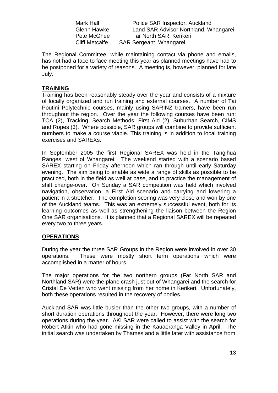Mark Hall **Police SAR Inspector, Auckland** Glenn Hawke Land SAR Advisor Northland, Whangarei Pete McGhee Far North SAR, Kerikeri Cliff Metcalfe SAR Sergeant, Whangarei

The Regional Committee, while maintaining contact via phone and emails, has not had a face to face meeting this year as planned meetings have had to be postponed for a variety of reasons. A meeting is, however, planned for late July.

#### **TRAINING**

Training has been reasonably steady over the year and consists of a mixture of locally organized and run training and external courses. A number of Tai Poutini Polytechnic courses, mainly using SARINZ trainers, have been run throughout the region. Over the year the following courses have been run: TCA (2), Tracking, Search Methods, First Aid (2), Suburban Search, CIMS and Ropes (3). Where possible, SAR groups will combine to provide sufficient numbers to make a course viable. This training is in addition to local training exercises and SAREXs.

In September 2005 the first Regional SAREX was held in the Tangihua Ranges, west of Whangarei. The weekend started with a scenario based SAREX starting on Friday afternoon which ran through until early Saturday evening. The aim being to enable as wide a range of skills as possible to be practiced, both in the field as well at base, and to practice the management of shift change-over. On Sunday a SAR competition was held which involved navigation, observation, a First Aid scenario and carrying and lowering a patient in a stretcher. The completion scoring was very close and won by one of the Auckland teams. This was an extremely successful event, both for its learning outcomes as well as strengthening the liaison between the Region One SAR organisations. It is planned that a Regional SAREX will be repeated every two to three years.

## **OPERATIONS**

During the year the three SAR Groups in the Region were involved in over 30 operations. These were mostly short term operations which were accomplished in a matter of hours.

The major operations for the two northern groups (Far North SAR and Northland SAR) were the plane crash just out of Whangarei and the search for Cristal De Vetten who went missing from her home in Kerikeri. Unfortunately, both these operations resulted in the recovery of bodies.

Auckland SAR was little busier than the other two groups, with a number of short duration operations throughout the year. However, there were long two operations during the year. AKLSAR were called to assist with the search for Robert Atkin who had gone missing in the Kauaeranga Valley in April. The initial search was undertaken by Thames and a little later with assistance from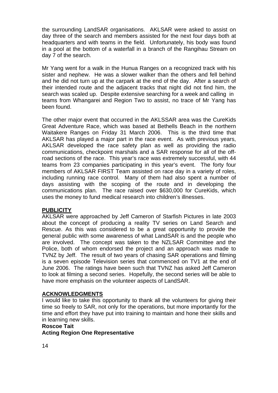the surrounding LandSAR organisations. AKLSAR were asked to assist on day three of the search and members assisted for the next four days both at headquarters and with teams in the field. Unfortunately, his body was found in a pool at the bottom of a waterfall in a branch of the Rangihau Stream on day 7 of the search.

Mr Yang went for a walk in the Hunua Ranges on a recognized track with his sister and nephew. He was a slower walker than the others and fell behind and he did not turn up at the carpark at the end of the day. After a search of their intended route and the adjacent tracks that night did not find him, the search was scaled up. Despite extensive searching for a week and calling in teams from Whangarei and Region Two to assist, no trace of Mr Yang has been found.

The other major event that occurred in the AKLSSAR area was the CureKids Great Adventure Race, which was based at Bethells Beach in the northern Waitakere Ranges on Friday 31 March 2006. This is the third time that AKLSAR has played a major part in the race event. As with previous years, AKLSAR developed the race safety plan as well as providing the radio communications, checkpoint marshals and a SAR response for all of the offroad sections of the race. This year's race was extremely successful, with 44 teams from 23 companies participating in this year's event. The forty four members of AKLSAR FIRST Team assisted on race day in a variety of roles, including running race control. Many of them had also spent a number of days assisting with the scoping of the route and in developing the communications plan. The race raised over \$630,000 for CureKids, which uses the money to fund medical research into children's illnesses.

## **PUBLICITY**

AKLSAR were approached by Jeff Cameron of Starfish Pictures in late 2003 about the concept of producing a reality TV series on Land Search and Rescue. As this was considered to be a great opportunity to provide the general public with some awareness of what LandSAR is and the people who are involved. The concept was taken to the NZLSAR Committee and the Police, both of whom endorsed the project and an approach was made to TVNZ by Jeff. The result of two years of chasing SAR operations and filming is a seven episode Television series that commenced on TV1 at the end of June 2006. The ratings have been such that TVNZ has asked Jeff Cameron to look at filming a second series. Hopefully, the second series will be able to have more emphasis on the volunteer aspects of LandSAR.

## **ACKNOWLEDGMENTS**

I would like to take this opportunity to thank all the volunteers for giving their time so freely to SAR, not only for the operations, but more importantly for the time and effort they have put into training to maintain and hone their skills and in learning new skills.

#### **Roscoe Tait**

**Acting Region One Representative**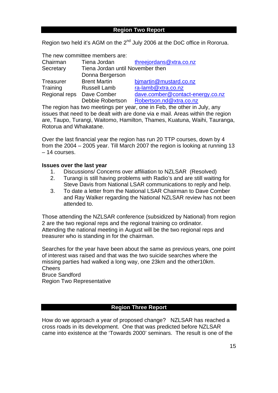## **Region Two Report**

Region two held it's AGM on the 2<sup>nd</sup> July 2006 at the DoC office in Rororua.

|                           | The new committee members are:   |                                  |
|---------------------------|----------------------------------|----------------------------------|
| Chairman                  | Tiena Jordan                     | threejordans@xtra.co.nz          |
| Secretary                 | Tiena Jordan until November then |                                  |
|                           | Donna Bergerson                  |                                  |
| Treasurer                 | <b>Brent Martin</b>              | bjmartin@mustard.co.nz           |
| Training                  | <b>Russell Lamb</b>              | ra-lamb@xtra.co.nz               |
| Regional reps Dave Comber |                                  | dave.comber@contact-energy.co.nz |
|                           | Debbie Robertson                 | Robertson.nd@xtra.co.nz          |

The region has two meetings per year, one in Feb, the other in July, any issues that need to be dealt with are done via e mail. Areas within the region are, Taupo, Turangi, Waitomo, Hamilton, Thames, Kuatuna, Waihi, Tauranga, Rotorua and Whakatane.

Over the last financial year the region has run 20 TTP courses, down by 4 from the 2004 – 2005 year. Till March 2007 the region is looking at running 13 – 14 courses.

#### **Issues over the last year**

- 1. Discussions/ Concerns over affiliation to NZLSAR (Resolved)
- 2. Turangi is still having problems with Radio's and are still waiting for Steve Davis from National LSAR communications to reply and help.
- 3. To date a letter from the National LSAR Chairman to Dave Comber and Ray Walker regarding the National NZLSAR review has not been attended to.

Those attending the NZLSAR conference (subsidized by National) from region 2 are the two regional reps and the regional training co ordinator. Attending the national meeting in August will be the two regional reps and treasurer who is standing in for the chairman.

Searches for the year have been about the same as previous years, one point of interest was raised and that was the two suicide searches where the missing parties had walked a long way, one 23km and the other10km. **Cheers** Bruce Sandford Region Two Representative

## **Region Three Report**

How do we approach a year of proposed change? NZLSAR has reached a cross roads in its development. One that was predicted before NZLSAR came into existence at the 'Towards 2000' seminars. The result is one of the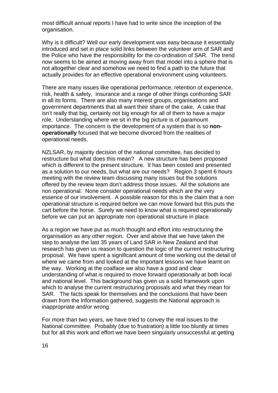most difficult annual reports I have had to write since the inception of the organisation.

Why is it difficult? Well our early development was easy because it essentially introduced and set in place solid links between the volunteer arm of SAR and the Police who have the responsibility for the co-ordination of SAR. The trend now seems to be aimed at moving away from that model into a sphere that is not altogether clear and somehow we need to find a path to the future that actually provides for an effective operational environment using volunteers.

There are many issues like operational performance, retention of experience, risk, health & safety, insurance and a range of other things confronting SAR in all its forms. There are also many interest groups, organisations and government departments that all want their share of the cake. A cake that isn't really that big, certainly not big enough for all of them to have a major role. Understanding where we sit in the big picture is of paramount importance. The concern is the development of a system that is so **nonoperationally** focused that we become divorced from the realities of operational needs.

NZLSAR, by majority decision of the national committee, has decided to restructure but what does this mean? A new structure has been proposed which is different to the present structure. It has been costed and presented as a solution to our needs, but what are our needs? Region 3 spent 6 hours meeting with the review team discussing many issues but the solutions offered by the review team don't address those issues. All the solutions are non operational. None consider operational needs which are the very essence of our involvement. A possible reason for this is the claim that a non operational structure is required before we can move forward but this puts the cart before the horse. Surely we need to know what is required operationally before we can put an appropriate non operational structure in place.

As a region we have put as much thought and effort into restructuring the organisation as any other region. Over and above that we have taken the step to analyse the last 35 years of Land SAR in New Zealand and that research has given us reason to question the logic of the current restructuring proposal. We have spent a significant amount of time working out the detail of where we came from and looked at the important lessons we have learnt on the way. Working at the coalface we also have a good and clear understanding of what is required to move forward operationally at both local and national level. This background has given us a solid framework upon which to analyse the current restructuring proposals and what they mean for SAR. The facts speak for themselves and the conclusions that have been drawn from the information gathered, suggests the National approach is inappropriate and/or wrong.

For more than two years, we have tried to convey the real issues to the National committee. Probably (due to frustration) a little too bluntly at times but for all this work and effort we have been singularly unsuccessful at getting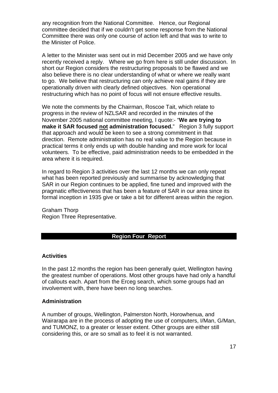any recognition from the National Committee. Hence, our Regional committee decided that if we couldn't get some response from the National Committee there was only one course of action left and that was to write to the Minister of Police.

A letter to the Minister was sent out in mid December 2005 and we have only recently received a reply. Where we go from here is still under discussion. In short our Region considers the restructuring proposals to be flawed and we also believe there is no clear understanding of what or where we really want to go. We believe that restructuring can only achieve real gains if they are operationally driven with clearly defined objectives. Non operational restructuring which has no point of focus will not ensure effective results.

We note the comments by the Chairman, Roscoe Tait, which relate to progress in the review of NZLSAR and recorded in the minutes of the November 2005 national committee meeting, I quote:- "**We are trying to make it SAR focused not administration focused.**" Region 3 fully support that approach and would be keen to see a strong commitment in that direction. Remote administration has no real value to the Region because in practical terms it only ends up with double handing and more work for local volunteers. To be effective, paid administration needs to be embedded in the area where it is required.

In regard to Region 3 activities over the last 12 months we can only repeat what has been reported previously and summarise by acknowledging that SAR in our Region continues to be applied, fine tuned and improved with the pragmatic effectiveness that has been a feature of SAR in our area since its formal inception in 1935 give or take a bit for different areas within the region.

Graham Thorp Region Three Representative.

## **Region Four Report**

#### **Activities**

In the past 12 months the region has been generally quiet, Wellington having the greatest number of operations. Most other groups have had only a handful of callouts each. Apart from the Erceg search, which some groups had an involvement with, there have been no long searches.

#### **Administration**

A number of groups, Wellington, Palmerston North, Horowhenua, and Wairarapa are in the process of adopting the use of computers, I/Man, G/Man, and TUMONZ, to a greater or lesser extent. Other groups are either still considering this, or are so small as to feel it is not warranted.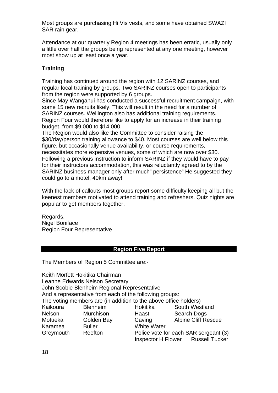Most groups are purchasing Hi Vis vests, and some have obtained SWAZI SAR rain gear.

Attendance at our quarterly Region 4 meetings has been erratic, usually only a little over half the groups being represented at any one meeting, however most show up at least once a year.

## **Training**

Training has continued around the region with 12 SARINZ courses, and regular local training by groups. Two SARINZ courses open to participants from the region were supported by 6 groups.

Since May Wanganui has conducted a successful recruitment campaign, with some 15 new recruits likely. This will result in the need for a number of SARINZ courses. Wellington also has additional training requirements. Region Four would therefore like to apply for an increase in their training budget, from \$9,000 to \$14,000.

The Region would also like the Committee to consider raising the \$30/day/person training allowance to \$40. Most courses are well below this figure, but occasionally venue availability, or course requirements, necessitates more expensive venues, some of which are now over \$30. Following a previous instruction to inform SARINZ if they would have to pay for their instructors accommodation, this was reluctantly agreed to by the SARINZ business manager only after much" persistence" He suggested they could go to a motel, 40km away!

With the lack of callouts most groups report some difficulty keeping all but the keenest members motivated to attend training and refreshers. Quiz nights are popular to get members together.

Regards, Nigel Boniface Region Four Representative

## **Region Five Report**

The Members of Region 5 Committee are:-

Keith Morfett Hokitika Chairman Leanne Edwards Nelson Secretary John Scobie Blenheim Regional Representative And a representative from each of the following groups: The voting members are (in addition to the above office holders) Kaikoura Blenheim Hokitika South Westland Nelson Murchison Haast Search Dogs Motueka Golden Bay Caving Alpine Cliff Rescue Karamea Buller White Water Greymouth Reefton Police vote for each SAR sergeant (3) Inspector H Flower Russell Tucker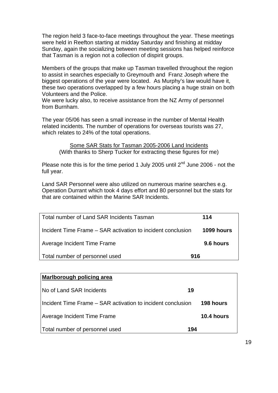The region held 3 face-to-face meetings throughout the year. These meetings were held in Reefton starting at midday Saturday and finishing at midday Sunday, again the socializing between meeting sessions has helped reinforce that Tasman is a region not a collection of dispirit groups.

Members of the groups that make up Tasman travelled throughout the region to assist in searches especially to Greymouth and Franz Joseph where the biggest operations of the year were located. As Murphy's law would have it, these two operations overlapped by a few hours placing a huge strain on both Volunteers and the Police.

We were lucky also, to receive assistance from the NZ Army of personnel from Burnham.

The year 05/06 has seen a small increase in the number of Mental Health related incidents. The number of operations for overseas tourists was 27, which relates to 24% of the total operations.

Some SAR Stats for Tasman 2005-2006 Land Incidents (With thanks to Sherp Tucker for extracting these figures for me)

Please note this is for the time period 1 July 2005 until  $2^{nd}$  June 2006 - not the full year.

Land SAR Personnel were also utilized on numerous marine searches e.g. Operation Durrant which took 4 days effort and 80 personnel but the stats for that are contained within the Marine SAR Incidents.

| Total number of Land SAR Incidents Tasman                   | 114        |
|-------------------------------------------------------------|------------|
| Incident Time Frame – SAR activation to incident conclusion | 1099 hours |
| Average Incident Time Frame                                 | 9.6 hours  |
| Total number of personnel used<br>916                       |            |

# **Marlborough policing area**  No of Land SAR Incidents **19** Incident Time Frame – SAR activation to incident conclusion **198 hours** Average Incident Time Frame **10.4 hours** Total number of personnel used **194**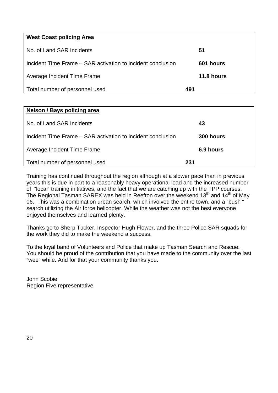| <b>West Coast policing Area</b>                             |            |
|-------------------------------------------------------------|------------|
| No. of Land SAR Incidents                                   | 51         |
| Incident Time Frame – SAR activation to incident conclusion | 601 hours  |
| Average Incident Time Frame                                 | 11.8 hours |
| Total number of personnel used                              | 491        |

| Nelson / Bays policing area                                 |           |
|-------------------------------------------------------------|-----------|
| No. of Land SAR Incidents                                   | 43        |
| Incident Time Frame – SAR activation to incident conclusion | 300 hours |
| Average Incident Time Frame                                 | 6.9 hours |
| Total number of personnel used                              | 231       |

Training has continued throughout the region although at a slower pace than in previous years this is due in part to a reasonably heavy operational load and the increased number of "local" training initiatives, and the fact that we are catching up with the TPP courses. The Regional Tasman SAREX was held in Reefton over the weekend 13<sup>th</sup> and 14<sup>th</sup> of May 06. This was a combination urban search, which involved the entire town, and a "bush " search utilizing the Air force helicopter. While the weather was not the best everyone enjoyed themselves and learned plenty.

Thanks go to Sherp Tucker, Inspector Hugh Flower, and the three Police SAR squads for the work they did to make the weekend a success.

To the loyal band of Volunteers and Police that make up Tasman Search and Rescue. You should be proud of the contribution that you have made to the community over the last "wee" while. And for that your community thanks you.

John Scobie Region Five representative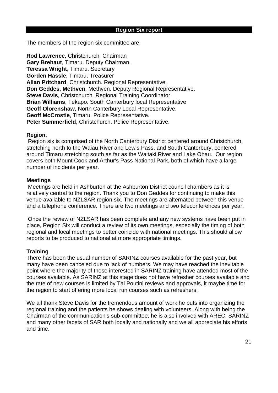The members of the region six committee are:

**Rod Lawrence**, Christchurch. Chairman **Gary Brehaut**, Timaru. Deputy Chairman. **Teressa Wright**, Timaru. Secretary **Gorden Hassle**, Timaru. Treasurer **Allan Pritchard**, Christchurch. Regional Representative. **Don Geddes, Methven**, Methven. Deputy Regional Representative. **Steve Davis**, Christchurch. Regional Training Coordinator **Brian Williams**, Tekapo. South Canterbury local Representative **Geoff Olorenshaw**, North Canterbury Local Representative. **Geoff McCrostie**, Timaru. Police Representative. **Peter Summerfield**, Christchurch. Police Representative.

#### **Region.**

 Region six is comprised of the North Canterbury District centered around Christchurch, stretching north to the Waiau River and Lewis Pass, and South Canterbury, centered around Timaru stretching south as far as the Waitaki River and Lake Ohau. Our region covers both Mount Cook and Arthur's Pass National Park, both of which have a large number of incidents per year.

#### **Meetings**

 Meetings are held in Ashburton at the Ashburton District council chambers as it is relatively central to the region. Thank you to Don Geddes for continuing to make this venue available to NZLSAR region six. The meetings are alternated between this venue and a telephone conference. There are two meetings and two teleconferences per year.

 Once the review of NZLSAR has been complete and any new systems have been put in place, Region Six will conduct a review of its own meetings, especially the timing of both regional and local meetings to better coincide with national meetings. This should allow reports to be produced to national at more appropriate timings.

#### **Training**

There has been the usual number of SARINZ courses available for the past year, but many have been canceled due to lack of numbers. We may have reached the inevitable point where the majority of those interested in SARINZ training have attended most of the courses available. As SARINZ at this stage does not have refresher courses available and the rate of new courses is limited by Tai Poutini reviews and approvals, it maybe time for the region to start offering more local run courses such as refreshers.

We all thank Steve Davis for the tremendous amount of work he puts into organizing the regional training and the patients he shows dealing with volunteers. Along with being the Chairman of the communication's sub-committee, he is also involved with AREC, SARINZ and many other facets of SAR both locally and nationally and we all appreciate his efforts and time.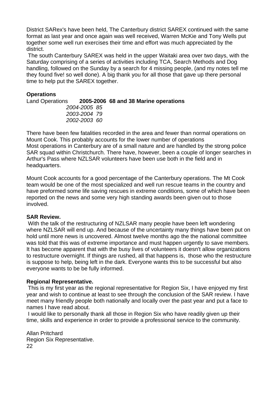District SARex's have been held, The Canterbury district SAREX continued with the same format as last year and once again was well received, Warren McKie and Tony Wells put together some well run exercises their time and effort was much appreciated by the district.

 The south Canterbury SAREX was held in the upper Waitaki area over two days, with the Saturday comprising of a series of activities including TCA, Search Methods and Dog handling, followed on the Sunday by a search for 4 missing people, (and my notes tell me they found five! so well done). A big thank you for all those that gave up there personal time to help put the SAREX together.

## **Operations**

Land Operations **2005-2006 68 and 38 Marine operations**  *2004-2005 85 2003-2004 79 2002-2003 60* 

There have been few fatalities recorded in the area and fewer than normal operations on Mount Cook. This probably accounts for the lower number of operations Most operations in Canterbury are of a small nature and are handled by the strong police SAR squad within Christchurch. There have, however, been a couple of longer searches in Arthur's Pass where NZLSAR volunteers have been use both in the field and in headquarters.

Mount Cook accounts for a good percentage of the Canterbury operations. The Mt Cook team would be one of the most specialized and well run rescue teams in the country and have preformed some life saving rescues in extreme conditions, some of which have been reported on the news and some very high standing awards been given out to those involved.

## **SAR Review.**

With the talk of the restructuring of NZLSAR many people have been left wondering where NZLSAR will end up. And because of the uncertainty many things have been put on hold until more news is uncovered. Almost twelve months ago the the national committee was told that this was of extreme importance and must happen urgently to save members. It has become apparent that with the busy lives of volunteers it doesn't allow organizations to restructure overnight. If things are rushed, all that happens is, those who the restructure is suppose to help, being left in the dark. Everyone wants this to be successful but also everyone wants to be be fully informed.

## **Regional Representative.**

This is my first year as the regional representative for Region Six, I have enjoyed my first year and wish to continue at least to see through the conclusion of the SAR review. I have meet many friendly people both nationally and locally over the past year and put a face to names I have read about.

 I would like to personally thank all those in Region Six who have readily given up their time, skills and experience in order to provide a professional service to the community.

Allan Pritchard Region Six Representative. 22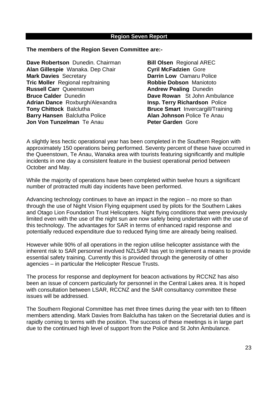#### **Region Seven Report**

**The members of the Region Seven Committee are:-** 

**Dave Robertson** Dunedin. Chairman **Bill Olsen** Regional AREC **Alan Gillespie** Wanaka. Dep Chair **Cyril McFadzien** Gore **Mark Davies** Secretary **Darrin Low** Oamaru Police **Tric Moller** Regional rep/training **Robbie Dobson** Maniototo **Russell Carr** Queenstown **Andrew Pealing** Dunedin **Bruce Calder** Dunedin **Dave Rowan** St John Ambulance **Adrian Dance** Roxburgh/Alexandra **Insp. Terry Richardson** Police **Tony Chittock** Balclutha **Bruce Smart** Invercargill/Training **Barry Hansen** Balclutha Police **Alan Johnson** Police Te Anau **Jon Von Tunzelman** Te Anau **Peter Garden** Gore

A slightly less hectic operational year has been completed in the Southern Region with approximately 150 operations being performed. Seventy percent of these have occurred in the Queenstown, Te Anau, Wanaka area with tourists featuring significantly and multiple incidents in one day a consistent feature in the busiest operational period between October and May.

While the majority of operations have been completed within twelve hours a significant number of protracted multi day incidents have been performed.

Advancing technology continues to have an impact in the region – no more so than through the use of Night Vision Flying equipment used by pilots for the Southern Lakes and Otago Lion Foundation Trust Helicopters. Night flying conditions that were previously limited even with the use of the night sun are now safely being undertaken with the use of this technology. The advantages for SAR in terms of enhanced rapid response and potentially reduced expenditure due to reduced flying time are already being realised.

However while 90% of all operations in the region utilise helicopter assistance with the inherent risk to SAR personnel involved NZLSAR has yet to implement a means to provide essential safety training. Currently this is provided through the generosity of other agencies – in particular the Helicopter Rescue Trusts.

The process for response and deployment for beacon activations by RCCNZ has also been an issue of concern particularly for personnel in the Central Lakes area. It is hoped with consultation between LSAR, RCCNZ and the SAR consultancy committee these issues will be addressed.

The Southern Regional Committee has met three times during the year with ten to fifteen members attending. Mark Davies from Balclutha has taken on the Secretarial duties and is rapidly coming to terms with the position. The success of these meetings is in large part due to the continued high level of support from the Police and St John Ambulance.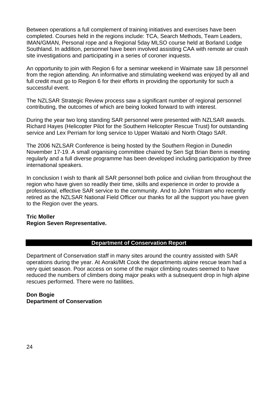Between operations a full complement of training initiatives and exercises have been completed. Courses held in the regions include: TCA, Search Methods, Team Leaders, IMAN/GMAN, Personal rope and a Regional 5day MLSO course held at Borland Lodge Southland. In addition, personnel have been involved assisting CAA with remote air crash site investigations and participating in a series of coroner inquests.

An opportunity to join with Region 6 for a seminar weekend in Waimate saw 18 personnel from the region attending. An informative and stimulating weekend was enjoyed by all and full credit must go to Region 6 for their efforts in providing the opportunity for such a successful event.

The NZLSAR Strategic Review process saw a significant number of regional personnel contributing, the outcomes of which are being looked forward to with interest.

During the year two long standing SAR personnel were presented with NZLSAR awards. Richard Hayes (Helicopter Pilot for the Southern Helicopter Rescue Trust) for outstanding service and Lex Perriam for long service to Upper Waitaki and North Otago SAR.

The 2006 NZLSAR Conference is being hosted by the Southern Region in Dunedin November 17-19. A small organising committee chaired by Sen Sgt Brian Benn is meeting regularly and a full diverse programme has been developed including participation by three international speakers.

In conclusion I wish to thank all SAR personnel both police and civilian from throughout the region who have given so readily their time, skills and experience in order to provide a professional, effective SAR service to the community. And to John Tristram who recently retired as the NZLSAR National Field Officer our thanks for all the support you have given to the Region over the years.

## **Tric Moller Region Seven Representative.**

## **Department of Conservation Report**

Department of Conservation staff in many sites around the country assisted with SAR operations during the year. At Aoraki/Mt Cook the departments alpine rescue team had a very quiet season. Poor access on some of the major climbing routes seemed to have reduced the numbers of climbers doing major peaks with a subsequent drop in high alpine rescues performed. There were no fatilities.

#### **Don Bogie Department of Conservation**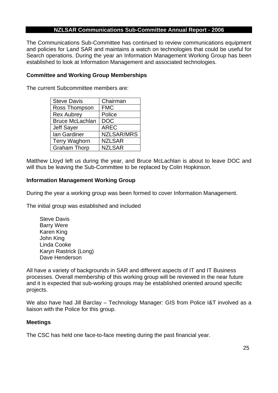## **NZLSAR Communications Sub-Committee Annual Report - 2006**

The Communications Sub-Committee has continued to review communications equipment and policies for Land SAR and maintains a watch on technologies that could be useful for Search operations. During the year an Information Management Working Group has been established to look at Information Management and associated technologies.

## **Committee and Working Group Memberships**

The current Subcommittee members are:

| <b>Steve Davis</b>     | Chairman          |
|------------------------|-------------------|
| Ross Thompson          | <b>FMC</b>        |
| <b>Rex Aubrey</b>      | Police            |
| <b>Bruce McLachlan</b> | <b>DOC</b>        |
| Jeff Sayer             | <b>AREC</b>       |
| Ian Gardiner           | <b>NZLSAR/MRS</b> |
| <b>Terry Waghorn</b>   | <b>NZLSAR</b>     |
| <b>Graham Thorp</b>    | <b>NZLSAR</b>     |

Matthew Lloyd left us during the year, and Bruce McLachlan is about to leave DOC and will thus be leaving the Sub-Committee to be replaced by Colin Hopkinson.

#### **Information Management Working Group**

During the year a working group was been formed to cover Information Management.

The initial group was established and included

 Steve Davis Barry Were Karen King John King Linda Cooke Karyn Rastrick (Long) Dave Henderson

All have a variety of backgrounds in SAR and different aspects of IT and IT Business processes. Overall membership of this working group will be reviewed in the near future and it is expected that sub-working groups may be established oriented around specific projects.

We also have had Jill Barclay – Technology Manager: GIS from Police I&T involved as a liaison with the Police for this group.

## **Meetings**

The CSC has held one face-to-face meeting during the past financial year.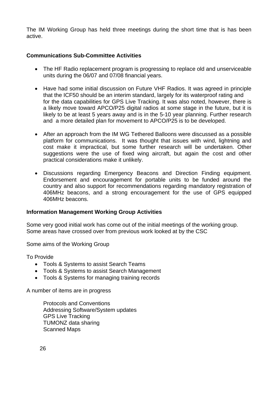The IM Working Group has held three meetings during the short time that is has been active.

## **Communications Sub-Committee Activities**

- The HF Radio replacement program is progressing to replace old and unserviceable units during the 06/07 and 07/08 financial years.
- Have had some initial discussion on Future VHF Radios. It was agreed in principle that the ICF50 should be an interim standard, largely for its waterproof rating and for the data capabilities for GPS Live Tracking. It was also noted, however, there is a likely move toward APCO/P25 digital radios at some stage in the future, but it is likely to be at least 5 years away and is in the 5-10 year planning. Further research and a more detailed plan for movement to APCO/P25 is to be developed.
- After an approach from the IM WG Tethered Balloons were discussed as a possible platform for communications. It was thought that issues with wind, lightning and cost make it impractical, but some further research will be undertaken. Other suggestions were the use of fixed wing aircraft, but again the cost and other practical considerations make it unlikely.
- Discussions regarding Emergency Beacons and Direction Finding equipment. Endorsement and encouragement for portable units to be funded around the country and also support for recommendations regarding mandatory registration of 406MHz beacons, and a strong encouragement for the use of GPS equipped 406MHz beacons.

## **Information Management Working Group Activities**

Some very good initial work has come out of the initial meetings of the working group. Some areas have crossed over from previous work looked at by the CSC

Some aims of the Working Group

To Provide

- Tools & Systems to assist Search Teams
- Tools & Systems to assist Search Management
- Tools & Systems for managing training records

A number of items are in progress

Protocols and Conventions Addressing Software/System updates GPS Live Tracking TUMONZ data sharing Scanned Maps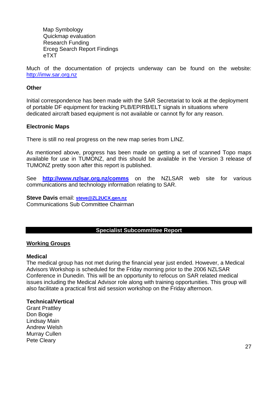Map Symbology Quickmap evaluation Research Funding Erceg Search Report Findings eTXT

Much of the documentation of projects underway can be found on the website: [http://imw.sar.org.nz](http://imw.sar.org.nz/)

#### **Other**

Initial correspondence has been made with the SAR Secretariat to look at the deployment of portable DF equipment for tracking PLB/EPIRB/ELT signals in situations where dedicated aircraft based equipment is not available or cannot fly for any reason.

## **Electronic Maps**

There is still no real progress on the new map series from LINZ.

As mentioned above, progress has been made on getting a set of scanned Topo maps available for use in TUMONZ, and this should be available in the Version 3 release of TUMONZ pretty soon after this report is published.

See **<http://www.nzlsar.org.nz/comms>** on the NZLSAR web site for various communications and technology information relating to SAR.

## **Steve Davis** email: **[steve@ZL2UCX.gen.nz](mailto:steve@ZL2UCX.gen.nz)**

Communications Sub Committee Chairman

#### **Specialist Subcommittee Report**

#### **Working Groups**

#### **Medical**

The medical group has not met during the financial year just ended. However, a Medical Advisors Workshop is scheduled for the Friday morning prior to the 2006 NZLSAR Conference in Dunedin. This will be an opportunity to refocus on SAR related medical issues including the Medical Advisor role along with training opportunities. This group will also facilitate a practical first aid session workshop on the Friday afternoon.

#### **Technical/Vertical**

Grant Prattley Don Bogie Lindsay Main Andrew Welsh Murray Cullen Pete Cleary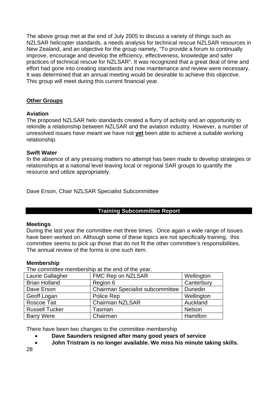The above group met at the end of July 2005 to discuss a variety of things such as NZLSAR helicopter standards, a needs analysis for technical rescue NZLSAR resources in New Zealand, and an objective for the group namely, "To provide a forum to continually improve, encourage and develop the efficiency, effectiveness, knowledge and safer practices of technical rescue for NZLSAR". It was recognized that a great deal of time and effort had gone into creating standards and now maintenance and review were necessary. It was determined that an annual meeting would be desirable to achieve this objective. This group will meet during this current financial year.

## **Other Groups**

## **Aviation**

The proposed NZLSAR helo standards created a flurry of activity and an opportunity to rekindle a relationship between NZLSAR and the aviation industry. However, a number of unresolved issues have meant we have not **yet** been able to achieve a suitable working relationship.

## **Swift Water**

In the absence of any pressing matters no attempt has been made to develop strategies or relationships at a national level leaving local or regional SAR groups to quantify the resource and utilize appropriately.

Dave Erson, Chair NZLSAR Specialist Subcommittee

## **Training Subcommittee Report**

## **Meetings**

During the last year the committee met three times. Once again a wide range of issues have been worked on. Although some of these topics are not specifically training, this committee seems to pick up those that do not fit the other committee's responsibilities. The annual review of the forms is one such item.

## **Membership**

The committee membership at the end of the year.

| Laurie Gallagher      | FMC Rep on NZLSAR                       | Wellington |
|-----------------------|-----------------------------------------|------------|
| <b>Brian Holland</b>  | Region 6                                | Canterbury |
| Dave Erson            | <b>Chairman Specialist subcommittee</b> | Dunedin    |
| Geoff Logan           | Police Rep                              | Wellington |
| Roscoe Tait           | <b>Chairman NZLSAR</b>                  | Auckland   |
| <b>Russell Tucker</b> | Tasman                                  | Nelson     |
| <b>Barry Were</b>     | Chairman                                | Hamilton   |

There have been two changes to the committee membership

- **Dave Saunders resigned after many good years of service**
- **John Tristram is no longer available. We miss his minute taking skills.**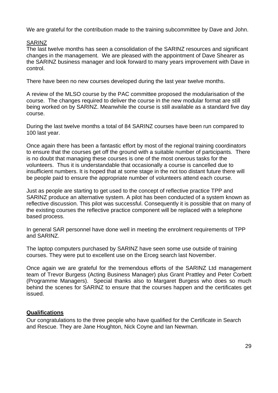We are grateful for the contribution made to the training subcommittee by Dave and John.

## SARINZ

The last twelve months has seen a consolidation of the SARINZ resources and significant changes in the management. We are pleased with the appointment of Dave Shearer as the SARINZ business manager and look forward to many years improvement with Dave in control.

There have been no new courses developed during the last year twelve months.

A review of the MLSO course by the PAC committee proposed the modularisation of the course. The changes required to deliver the course in the new modular format are still being worked on by SARINZ. Meanwhile the course is still available as a standard five day course.

During the last twelve months a total of 84 SARINZ courses have been run compared to 100 last year.

Once again there has been a fantastic effort by most of the regional training coordinators to ensure that the courses get off the ground with a suitable number of participants. There is no doubt that managing these courses is one of the most onerous tasks for the volunteers. Thus it is understandable that occasionally a course is cancelled due to insufficient numbers. It is hoped that at some stage in the not too distant future there will be people paid to ensure the appropriate number of volunteers attend each course.

Just as people are starting to get used to the concept of reflective practice TPP and SARINZ produce an alternative system. A pilot has been conducted of a system known as reflective discussion. This pilot was successful. Consequently it is possible that on many of the existing courses the reflective practice component will be replaced with a telephone based process.

In general SAR personnel have done well in meeting the enrolment requirements of TPP and SARINZ.

The laptop computers purchased by SARINZ have seen some use outside of training courses. They were put to excellent use on the Erceg search last November.

Once again we are grateful for the tremendous efforts of the SARINZ Ltd management team of Trevor Burgess (Acting Business Manager) plus Grant Prattley and Peter Corbett (Programme Managers). Special thanks also to Margaret Burgess who does so much behind the scenes for SARINZ to ensure that the courses happen and the certificates get issued.

## **Qualifications**

Our congratulations to the three people who have qualified for the Certificate in Search and Rescue. They are Jane Houghton, Nick Coyne and Ian Newman.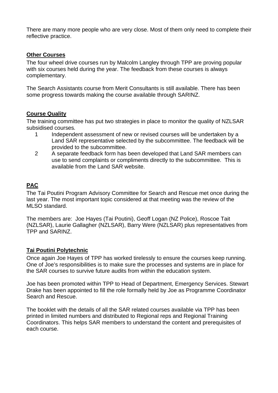There are many more people who are very close. Most of them only need to complete their reflective practice.

## **Other Courses**

The four wheel drive courses run by Malcolm Langley through TPP are proving popular with six courses held during the year. The feedback from these courses is always complementary.

The Search Assistants course from Merit Consultants is still available. There has been some progress towards making the course available through SARINZ.

## **Course Quality**

The training committee has put two strategies in place to monitor the quality of NZLSAR subsidised courses*.* 

- 1 Independent assessment of new or revised courses will be undertaken by a Land SAR representative selected by the subcommittee. The feedback will be provided to the subcommittee.
- 2 A separate feedback form has been developed that Land SAR members can use to send complaints or compliments directly to the subcommittee. This is available from the Land SAR website.

## **PAC**

The Tai Poutini Program Advisory Committee for Search and Rescue met once during the last year. The most important topic considered at that meeting was the review of the MLSO standard.

The members are: Joe Hayes (Tai Poutini), Geoff Logan (NZ Police), Roscoe Tait (NZLSAR), Laurie Gallagher (NZLSAR), Barry Were (NZLSAR) plus representatives from TPP and SARINZ.

## **Tai Poutini Polytechnic**

Once again Joe Hayes of TPP has worked tirelessly to ensure the courses keep running. One of Joe's responsibilities is to make sure the processes and systems are in place for the SAR courses to survive future audits from within the education system.

Joe has been promoted within TPP to Head of Department, Emergency Services. Stewart Drake has been appointed to fill the role formally held by Joe as Programme Coordinator Search and Rescue.

The booklet with the details of all the SAR related courses available via TPP has been printed in limited numbers and distributed to Regional reps and Regional Training Coordinators. This helps SAR members to understand the content and prerequisites of each course.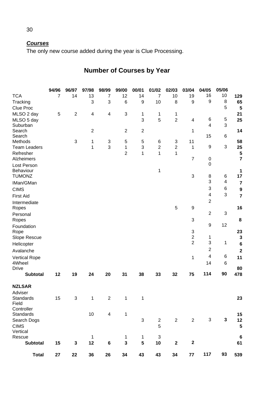## *Courses*

The only new course added during the year is Clue Processing.

#### **94/96 96/97 97/98 98/99 99/00 00/01 01/02 02/03 03/04 04/05 05/06**  TCA 7 14 13 7 12 14 7 10 19 16 10 **129** Tracking 3 3 6 9 10 8 9 9 8 **65** Clue Proc 5 **5** MLSO 2 day 5 2 4 4 3 1 1 1 **21** MLSO 5 day 3 5 2 4 6 5 **25** Suburban<br>Search Search 2 2 2 1 4 3 **14** Search Methods 3 1 3 5 5 6 3 11 15 6 **58** Team Leaders 1 3 1 3 2 2 1 9 3 **25** Refresher 2 1 1 1 **5** Alzheimers 7 0 **7** Lost Person Behaviour 1  $\overline{0}$  $\frac{1}{17}$ TUMONZ 3 8 6 **17** IMan/GMan 3 4 **7** CIMS 3 6 **9** First Aid 4 3 **7** Intermediate Ropes 5 9 2 **16** Personal Ropes 3 2 3  **8**  Foundation Rope 33 and 2012 and 2012 and 2012 and 2012 and 2012 and 2012 and 2012 and 2012 and 2012 and 2012 and 2012 and 9 12 **23** Slope Rescue 2 1 3<br>
Holicenter 2 3 1 6 Helicopter 2 3 1 **6** Avalanche 2 **2** Vertical Rope 1 6 **11**<br>4 Wheel 14 6 **11** 4Wheel Drive 14 **80 Subtotal 12 19 24 20 31 38 33 32 75 114 90 478 NZLSAR**  Adviser Standards 15 3 1 2 1 1 **23** Field **Controller** Standards 10 4 1 **15** Search Dogs **3** 2 2 2 3 3 12 CIMS 5 **5** Vertical Rescue 1 1 1 3 **6 Subtotal 15 3 12 6 3 5 10 2 2 61 Total 27 22 36 26 34 43 43 34 77 117 93 539**

# **Number of Courses by Year**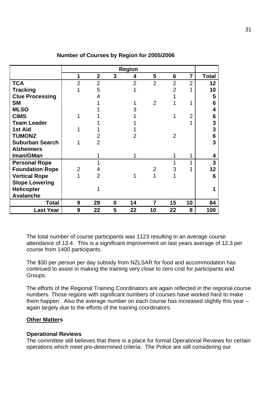|                        | <b>Region</b>  |                |          |                |                |                |                |                 |
|------------------------|----------------|----------------|----------|----------------|----------------|----------------|----------------|-----------------|
|                        | 1              | $\overline{2}$ | 3        | 4              | 5              | 6              | $\overline{7}$ | <b>Total</b>    |
| <b>TCA</b>             | $\overline{2}$ | $\overline{2}$ |          | $\overline{2}$ | $\overline{2}$ | $\overline{2}$ | $\overline{2}$ | 12              |
| <b>Tracking</b>        |                | 5              |          |                |                | $\overline{2}$ |                | 10              |
| <b>Clue Processing</b> |                | 4              |          |                |                |                |                | 5               |
| <b>SM</b>              |                |                |          |                | $\overline{2}$ |                | 1              | $6\phantom{1}6$ |
| <b>MLSO</b>            |                |                |          | 3              |                |                |                | 4               |
| <b>CIMS</b>            |                |                |          |                |                |                | $\overline{2}$ | 6               |
| <b>Team Leader</b>     |                |                |          |                |                |                |                | $\mathbf 3$     |
| 1st Aid                |                |                |          |                |                |                |                | 3               |
| <b>TUMONZ</b>          |                | 2              |          | 2              |                | $\overline{2}$ |                | $6\phantom{1}$  |
| <b>Suburban Search</b> |                | $\overline{2}$ |          |                |                |                |                | 3               |
| <b>Alzheimers</b>      |                |                |          |                |                |                |                |                 |
| Iman/GMan              |                | 1              |          |                |                |                | 1              | 4               |
| <b>Personal Rope</b>   |                | 1              |          |                |                |                | 1              | 3               |
| <b>Foundation Rope</b> | $\overline{2}$ | 4              |          |                | $\overline{2}$ | 3              |                | 12              |
| <b>Vertical Rope</b>   | 1              | $\overline{2}$ |          | 1              | 1              |                |                | $6\phantom{1}$  |
| <b>Slope Lowering</b>  |                |                |          |                |                |                |                |                 |
| <b>Helicopter</b>      |                |                |          |                |                |                |                | 1               |
| <b>Avalanche</b>       |                |                |          |                |                |                |                |                 |
| Total                  | 9              | 29             | $\bf{0}$ | 14             | $\overline{7}$ | 15             | 10             | 84              |
| <b>Last Year</b>       | 9              | 22             | 5        | 22             | 10             | 22             | 8              | 100             |

#### **Number of Courses by Region for 2005/2006**

The total number of course participants was 1123 resulting in an average course attendance of 13.4. This is a significant improvement on last years average of 12.3 per course from 1400 participants.

The \$30 per person per day subsidy from NZLSAR for food and accommodation has continued to assist in making the training very close to zero cost for participants and Groups.

The efforts of the Regional Training Coordinators are again reflected in the regional course numbers. Those regions with significant numbers of courses have worked hard to make them happen. Also the average number on each course has increased slightly this year – again largely due to the efforts of the training coordinators.

#### **Other Matters**

## **Operational Reviews**

The committee still believes that there is a place for formal Operational Reviews for certain operations which meet pre-determined criteria. The Police are still considering our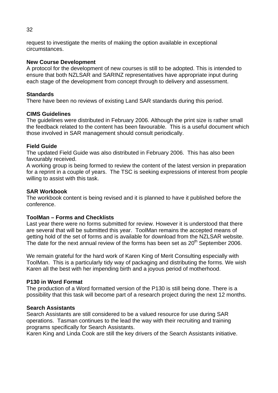request to investigate the merits of making the option available in exceptional circumstances.

## **New Course Development**

A protocol for the development of new courses is still to be adopted. This is intended to ensure that both NZLSAR and SARINZ representatives have appropriate input during each stage of the development from concept through to delivery and assessment.

## **Standards**

There have been no reviews of existing Land SAR standards during this period.

## **CIMS Guidelines**

The guidelines were distributed in February 2006. Although the print size is rather small the feedback related to the content has been favourable. This is a useful document which those involved in SAR management should consult periodically.

## **Field Guide**

The updated Field Guide was also distributed in February 2006. This has also been favourably received.

A working group is being formed to review the content of the latest version in preparation for a reprint in a couple of years. The TSC is seeking expressions of interest from people willing to assist with this task.

## **SAR Workbook**

The workbook content is being revised and it is planned to have it published before the conference.

## **ToolMan – Forms and Checklists**

Last year there were no forms submitted for review. However it is understood that there are several that will be submitted this year. ToolMan remains the accepted means of getting hold of the set of forms and is available for download from the NZLSAR website. The date for the next annual review of the forms has been set as  $20<sup>th</sup>$  September 2006.

We remain grateful for the hard work of Karen King of Merit Consulting especially with ToolMan. This is a particularly tidy way of packaging and distributing the forms. We wish Karen all the best with her impending birth and a joyous period of motherhood.

## **P130 in Word Format**

The production of a Word formatted version of the P130 is still being done. There is a possibility that this task will become part of a research project during the next 12 months.

## **Search Assistants**

Search Assistants are still considered to be a valued resource for use during SAR operations. Tasman continues to the lead the way with their recruiting and training programs specifically for Search Assistants.

Karen King and Linda Cook are still the key drivers of the Search Assistants initiative.

#### 32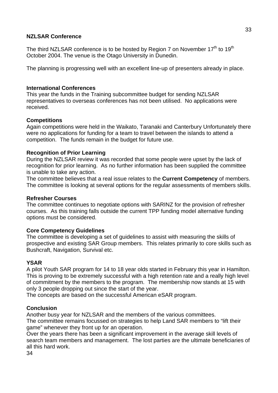## **NZLSAR Conference**

The third NZLSAR conference is to be hosted by Region 7 on November  $17<sup>th</sup>$  to  $19<sup>th</sup>$ October 2004. The venue is the Otago University in Dunedin.

The planning is progressing well with an excellent line-up of presenters already in place.

## **International Conferences**

This year the funds in the Training subcommittee budget for sending NZLSAR representatives to overseas conferences has not been utilised. No applications were received.

## **Competitions**

Again competitions were held in the Waikato, Taranaki and Canterbury Unfortunately there were no applications for funding for a team to travel between the islands to attend a competition. The funds remain in the budget for future use.

## **Recognition of Prior Learning**

During the NZLSAR review it was recorded that some people were upset by the lack of recognition for prior learning. As no further information has been supplied the committee is unable to take any action.

The committee believes that a real issue relates to the **Current Competency** of members. The committee is looking at several options for the regular assessments of members skills.

## **Refresher Courses**

The committee continues to negotiate options with SARINZ for the provision of refresher courses. As this training falls outside the current TPP funding model alternative funding options must be considered.

## **Core Competency Guidelines**

The committee is developing a set of guidelines to assist with measuring the skills of prospective and existing SAR Group members. This relates primarily to core skills such as Bushcraft, Navigation, Survival etc.

## **YSAR**

A pilot Youth SAR program for 14 to 18 year olds started in February this year in Hamilton. This is proving to be extremely successful with a high retention rate and a really high level of commitment by the members to the program. The membership now stands at 15 with only 3 people dropping out since the start of the year.

The concepts are based on the successful American eSAR program.

## **Conclusion**

Another busy year for NZLSAR and the members of the various committees. The committee remains focussed on strategies to help Land SAR members to "lift their game" whenever they front up for an operation.

Over the years there has been a significant improvement in the average skill levels of search team members and management. The lost parties are the ultimate beneficiaries of all this hard work.

34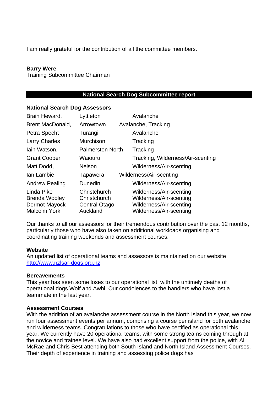I am really grateful for the contribution of all the committee members.

#### **Barry Were**

Training Subcommittee Chairman

#### **National Search Dog Subcommittee report**

#### **National Search Dog Assessors**

| Brain Heward,                                                              | Lyttleton                                                        | Avalanche                                                                                                |
|----------------------------------------------------------------------------|------------------------------------------------------------------|----------------------------------------------------------------------------------------------------------|
| Brent MacDonald,                                                           | Arrowtown                                                        | Avalanche, Tracking                                                                                      |
| Petra Specht                                                               | Turangi                                                          | Avalanche                                                                                                |
| <b>Larry Charles</b>                                                       | Murchison                                                        | Tracking                                                                                                 |
| lain Watson,                                                               | <b>Palmerston North</b>                                          | Tracking                                                                                                 |
| <b>Grant Cooper</b>                                                        | Waiouru                                                          | Tracking, Wilderness/Air-scenting                                                                        |
| Matt Dodd,                                                                 | <b>Nelson</b>                                                    | Wilderness/Air-scenting                                                                                  |
| Ian Lambie                                                                 | Tapawera                                                         | Wilderness/Air-scenting                                                                                  |
| <b>Andrew Pealing</b>                                                      | Dunedin                                                          | Wilderness/Air-scenting                                                                                  |
| Linda Pike<br><b>Brenda Wooley</b><br>Dermot Mayock<br><b>Malcolm York</b> | Christchurch<br>Christchurch<br><b>Central Otago</b><br>Auckland | Wilderness/Air-scenting<br>Wilderness/Air-scenting<br>Wilderness/Air-scenting<br>Wilderness/Air-scenting |

Our thanks to all our assessors for their tremendous contribution over the past 12 months, particularly those who have also taken on additional workloads organising and coordinating training weekends and assessment courses.

#### **Website**

An updated list of operational teams and assessors is maintained on our website <http://www.nzlsar-dogs.org.nz>

#### **Bereavements**

This year has seen some loses to our operational list, with the untimely deaths of operational dogs Wolf and Awhi. Our condolences to the handlers who have lost a teammate in the last year.

#### **Assessment Courses**

With the addition of an avalanche assessment course in the North Island this year, we now run four assessment events per annum, comprising a course per island for both avalanche and wilderness teams. Congratulations to those who have certified as operational this year. We currently have 20 operational teams, with some strong teams coming through at the novice and trainee level. We have also had excellent support from the police, with Al McRae and Chris Best attending both South Island and North Island Assessment Courses. Their depth of experience in training and assessing police dogs has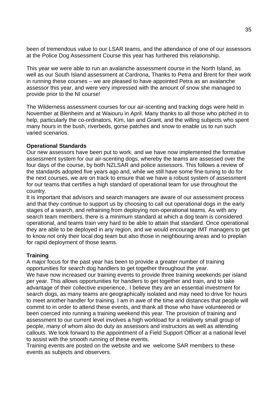been of tremendous value to our LSAR teams, and the attendance of one of our assessors at the Police Dog Assessment Course this year has furthered this relationship.

This year we were able to run an avalanche assessment course in the North Island, as well as our South Island assessment at Cardrona, Thanks to Petra and Brent for their work in running these courses – we are pleased to have appointed Petra as an avalanche assessor this year, and were very impressed with the amount of snow she managed to provide prior to the NI course!

The Wilderness assessment courses for our air-scenting and tracking dogs were held in November at Blenheim and at Waiouru in April. Many thanks to all those who pitched in to help, particularly the co-ordinators, Kim, Ian and Grant, and the willing subjects who spent many hours in the bush, riverbeds, gorse patches and snow to enable us to run such varied scenarios.

## **Operational Standards**

Our new assessors have been put to work, and we have now implemented the formative assessment system for our air-scenting dogs, whereby the teams are assessed over the four days of the course, by both NZLSAR and police assessors. This follows a review of the standards adopted five years ago and, while we still have some fine-tuning to do for the next courses, we are on track to ensure that we have a robust system of assessment for our teams that certifies a high standard of operational team for use throughout the country.

It is important that advisors and search managers are aware of our assessment process and that they continue to support us by choosing to call out operational dogs in the early stages of a search, and refraining from deploying non-operational teams. As with any search team members, there is a minimum standard at which a dog team is considered operational, and teams train very hard to be able to attain that standard. Once operational they are able to be deployed in any region, and we would encourage IMT managers to get to know not only their local dog team but also those in neighbouring areas and to preplan for rapid deployment of those teams.

## **Training**

A major focus for the past year has been to provide a greater number of training opportunities for search dog handlers to get together throughout the year. We have now increased our training events to provide three training weekends per island per year. This allows opportunities for handlers to get together and train, and to take advantage of their collective experience,. I believe they are an essential investment for search dogs, as many teams are geographically isolated and may need to drive for hours to meet another handler for training. I am in awe of the time and distances that people will commit to in order to attend these events, and thank all those who have volunteered or been coerced into running a training weekend this year. The provision of training and assessment to our current level involves a high workload for a relatively small group of people, many of whom also do duty as assessors and instructors as well as attending callouts. We look forward to the appointment of a Field Support Officer at a national level to assist with the smooth running of these events.

Training events are posted on the website and we welcome SAR members to these events as subjects and observers.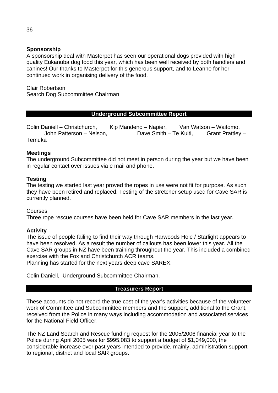## **Sponsorship**

A sponsorship deal with Masterpet has seen our operational dogs provided with high quality Eukanuba dog food this year, which has been well received by both handlers and canines! Our thanks to Masterpet for this generous support, and to Leanne for her continued work in organising delivery of the food.

Clair Robertson Search Dog Subcommittee Chairman

## **Underground Subcommittee Report**

Colin Daniell – Christchurch, Kip Mandeno – Napier, Van Watson – Waitomo, John Patterson – Nelson, Dave Smith – Te Kuiti, Grant Prattley – Temuka

## **Meetings**

The underground Subcommittee did not meet in person during the year but we have been in regular contact over issues via e mail and phone.

#### **Testing**

The testing we started last year proved the ropes in use were not fit for purpose. As such they have been retired and replaced. Testing of the stretcher setup used for Cave SAR is currently planned.

#### **Courses**

Three rope rescue courses have been held for Cave SAR members in the last year.

#### **Activity**

The issue of people failing to find their way through Harwoods Hole / Starlight appears to have been resolved. As a result the number of callouts has been lower this year. All the Cave SAR groups in NZ have been training throughout the year. This included a combined exercise with the Fox and Christchurch ACR teams.

Planning has started for the next years deep cave SAREX.

Colin Daniell, Underground Subcommittee Chairman.

#### **Treasurers Report**

These accounts do not record the true cost of the year's activities because of the volunteer work of Committee and Subcommittee members and the support, additional to the Grant, received from the Police in many ways including accommodation and associated services for the National Field Officer.

The NZ Land Search and Rescue funding request for the 2005/2006 financial year to the Police during April 2005 was for \$995,083 to support a budget of \$1,049,000, the considerable increase over past years intended to provide, mainly, administration support to regional, district and local SAR groups.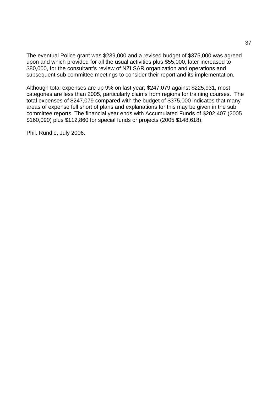The eventual Police grant was \$239,000 and a revised budget of \$375,000 was agreed upon and which provided for all the usual activities plus \$55,000, later increased to \$80,000, for the consultant's review of NZLSAR organization and operations and subsequent sub committee meetings to consider their report and its implementation.

Although total expenses are up 9% on last year, \$247,079 against \$225,931, most categories are less than 2005, particularly claims from regions for training courses. The total expenses of \$247,079 compared with the budget of \$375,000 indicates that many areas of expense fell short of plans and explanations for this may be given in the sub committee reports. The financial year ends with Accumulated Funds of \$202,407 (2005 \$160,090) plus \$112,860 for special funds or projects (2005 \$148,618).

Phil. Rundle, July 2006.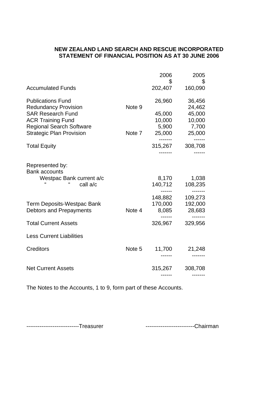## **NEW ZEALAND LAND SEARCH AND RESCUE INCORPORATED STATEMENT OF FINANCIAL POSITION AS AT 30 JUNE 2006**

|                                                                    |        | 2006<br>\$      | 2005<br>\$       |
|--------------------------------------------------------------------|--------|-----------------|------------------|
| <b>Accumulated Funds</b>                                           |        | 202,407         | 160,090          |
| <b>Publications Fund</b><br><b>Redundancy Provision</b>            | Note 9 | 26,960          | 36,456<br>24,462 |
| <b>SAR Research Fund</b>                                           |        | 45,000          | 45,000           |
| <b>ACR Training Fund</b>                                           |        | 10,000          | 10,000           |
| <b>Regional Search Software</b><br><b>Strategic Plan Provision</b> | Note 7 | 5,900<br>25,000 | 7,700<br>25,000  |
|                                                                    |        |                 |                  |
| <b>Total Equity</b>                                                |        | 315,267         | 308,708          |
|                                                                    |        |                 |                  |
| Represented by:<br><b>Bank accounts</b>                            |        |                 |                  |
| Westpac Bank current a/c                                           |        | 8,170           | 1,038            |
| call a/c                                                           |        | 140,712         | 108,235          |
|                                                                    |        | 148,882         | 109,273          |
| <b>Term Deposits-Westpac Bank</b>                                  |        | 170,000         | 192,000          |
| Debtors and Prepayments                                            | Note 4 | 8,085           | 28,683           |
| <b>Total Current Assets</b>                                        |        | 326,967         | 329,956          |
| <b>Less Current Liabilities</b>                                    |        |                 |                  |
| <b>Creditors</b>                                                   | Note 5 | 11,700          | 21,248           |
|                                                                    |        |                 |                  |
| <b>Net Current Assets</b>                                          |        | 315,267         | 308,708          |
|                                                                    |        |                 |                  |

The Notes to the Accounts, 1 to 9, form part of these Accounts.

----------------------------Treasurer --------------------------Chairman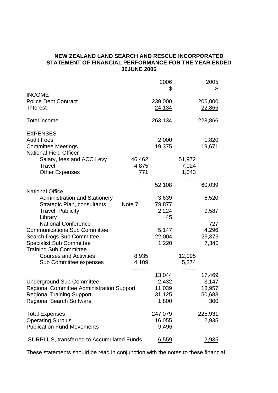#### **NEW ZEALAND LAND SEARCH AND RESCUE INCORPORATED STATEMENT OF FINANCIAL PERFORMANCE FOR THE YEAR ENDED 30JUNE 2006**

|                                                              |              | 2006<br>\$      |                | 2005<br>\$      |
|--------------------------------------------------------------|--------------|-----------------|----------------|-----------------|
| <b>INCOME</b>                                                |              |                 |                |                 |
| <b>Police Dept Contract</b>                                  |              | 239,000         |                | 206,000         |
| Interest                                                     |              | 24,134          |                | <u>22,866</u>   |
| Total income                                                 |              | 263,134         |                | 228,866         |
| <b>EXPENSES</b>                                              |              |                 |                |                 |
| <b>Audit Fees</b>                                            |              | 2,000           |                | 1,820           |
| <b>Committee Meetings</b>                                    |              | 19,375          |                | 19,671          |
| <b>National Field Officer</b>                                |              |                 |                |                 |
| Salary, fees and ACC Levy                                    | 46,462       |                 | 51,972         |                 |
| Travel<br><b>Other Expenses</b>                              | 4,875<br>771 |                 | 7,024<br>1,043 |                 |
|                                                              | ------       |                 | -----          |                 |
|                                                              |              | 52,108          |                | 60,039          |
| <b>National Office</b>                                       |              |                 |                |                 |
| <b>Administration and Stationery</b>                         |              | 3,639           |                | 6,520           |
| Strategic Plan, consultants                                  | Note 7       | 79,877          |                |                 |
| <b>Travel, Publicity</b>                                     |              | 2,224           |                | 9,587           |
| Library                                                      |              | 45              |                |                 |
| <b>National Conference</b>                                   |              |                 |                | 727             |
| <b>Communications Sub Committee</b>                          |              | 5,147           |                | 4,296           |
| Search Dogs Sub Committee<br><b>Specialist Sub Committee</b> |              | 22,004<br>1,220 |                | 25,375<br>7,340 |
| <b>Training Sub Committee</b>                                |              |                 |                |                 |
| <b>Courses and Activities</b>                                | 8,935        |                 | 12,095         |                 |
| Sub Committee expenses                                       | 4,109        |                 | 5,374          |                 |
|                                                              | -------      |                 |                |                 |
|                                                              |              | 13,044          |                | 17,469          |
| <b>Underground Sub Committee</b>                             |              | 2,432           |                | 3,147           |
| <b>Regional Committee Administration Support</b>             |              | 11,039          |                | 18,957          |
| <b>Regional Training Support</b>                             |              | 31,125          |                | 50,683          |
| <b>Regional Search Software</b>                              |              | 1,800           |                | <u>300</u>      |
| <b>Total Expenses</b>                                        |              | 247,079         |                | 225,931         |
| <b>Operating Surplus</b>                                     |              | 16,055          |                | 2,935           |
| <b>Publication Fund Movements</b>                            |              | 9,496           |                |                 |
| <b>SURPLUS, transferred to Accumulated Funds</b>             |              | 6,559           |                | 2,935           |

These statements should be read in conjunction with the notes to these financial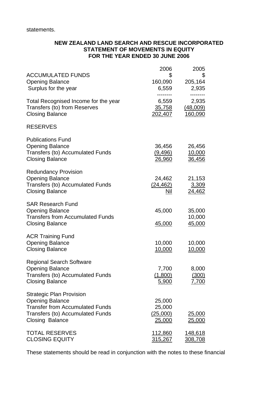statements.

## **NEW ZEALAND LAND SEARCH AND RESCUE INCORPORATED STATEMENT OF MOVEMENTS IN EQUITY FOR THE YEAR ENDED 30 JUNE 2006**

| <b>ACCUMULATED FUNDS</b><br><b>Opening Balance</b><br>Surplus for the year                                                                                        | 2006<br>\$<br>160,090<br>6,559         | 2005<br>\$<br>205,164<br>2,935        |
|-------------------------------------------------------------------------------------------------------------------------------------------------------------------|----------------------------------------|---------------------------------------|
| Total Recognised Income for the year<br>Transfers (to) from Reserves<br><b>Closing Balance</b>                                                                    | 6,559<br><u>35,758</u><br>202,407      | 2,935<br>(48,009)<br>160,090          |
| <b>RESERVES</b>                                                                                                                                                   |                                        |                                       |
| <b>Publications Fund</b><br><b>Opening Balance</b><br><b>Transfers (to) Accumulated Funds</b><br><b>Closing Balance</b>                                           | 36,456<br>(9, 496)<br>26,960           | 26,456<br>10,000<br>36,456            |
| <b>Redundancy Provision</b><br><b>Opening Balance</b><br><b>Transfers (to) Accumulated Funds</b><br><b>Closing Balance</b>                                        | 24,462<br>(24, 462)<br>Nil             | 21,153<br>3,309<br>24,462             |
| <b>SAR Research Fund</b><br><b>Opening Balance</b><br><b>Transfers from Accumulated Funds</b><br><b>Closing Balance</b>                                           | 45,000<br>45,000                       | 35,000<br>10,000<br>45,000            |
| <b>ACR Training Fund</b><br><b>Opening Balance</b><br><b>Closing Balance</b>                                                                                      | 10,000<br><u>10,000</u>                | 10,000<br>10,000                      |
| <b>Regional Search Software</b><br><b>Opening Balance</b><br>Transfers (to) Accumulated Funds<br><b>Closing Balance</b>                                           | 7,700<br>(1,800)<br>5,900              | 8,000<br><u>(300)</u><br><u>7,700</u> |
| <b>Strategic Plan Provision</b><br><b>Opening Balance</b><br><b>Transfer from Accumulated Funds</b><br>Transfers (to) Accumulated Funds<br><b>Closing Balance</b> | 25,000<br>25,000<br>(25,000)<br>25,000 | <u>25,000</u><br><u> 25,000</u>       |
| <b>TOTAL RESERVES</b><br><b>CLOSING EQUITY</b>                                                                                                                    | <u>112,860</u><br><u>315,267</u>       | <u>148,618</u><br><u>308,708</u>      |

These statements should be read in conjunction with the notes to these financial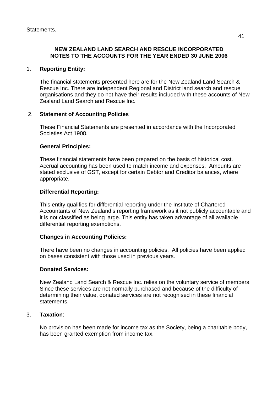## **NEW ZEALAND LAND SEARCH AND RESCUE INCORPORATED NOTES TO THE ACCOUNTS FOR THE YEAR ENDED 30 JUNE 2006**

## 1. **Reporting Entity:**

The financial statements presented here are for the New Zealand Land Search & Rescue Inc. There are independent Regional and District land search and rescue organisations and they do not have their results included with these accounts of New Zealand Land Search and Rescue Inc.

## 2. **Statement of Accounting Policies**

These Financial Statements are presented in accordance with the Incorporated Societies Act 1908.

## **General Principles:**

These financial statements have been prepared on the basis of historical cost. Accrual accounting has been used to match income and expenses. Amounts are stated exclusive of GST, except for certain Debtor and Creditor balances, where appropriate.

## **Differential Reporting:**

This entity qualifies for differential reporting under the Institute of Chartered Accountants of New Zealand's reporting framework as it not publicly accountable and it is not classified as being large. This entity has taken advantage of all available differential reporting exemptions.

## **Changes in Accounting Policies:**

There have been no changes in accounting policies. All policies have been applied on bases consistent with those used in previous years.

## **Donated Services:**

New Zealand Land Search & Rescue Inc. relies on the voluntary service of members. Since these services are not normally purchased and because of the difficulty of determining their value, donated services are not recognised in these financial statements.

## 3. **Taxation**:

No provision has been made for income tax as the Society, being a charitable body, has been granted exemption from income tax.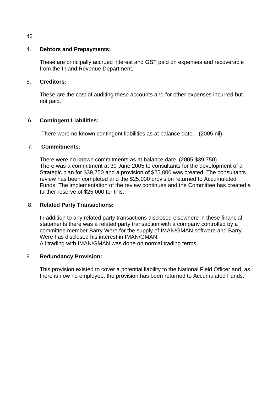## 4. **Debtors and Prepayments:**

These are principally accrued interest and GST paid on expenses and recoverable from the Inland Revenue Department.

## 5. **Creditors:**

These are the cost of auditing these accounts and for other expenses incurred but not paid.

## 6. **Contingent Liabilities:**

There were no known contingent liabilities as at balance date. (2005 nil)

## 7. **Commitments:**

 There were no known commitments as at balance date. (2005 \$39,750) There was a commitment at 30 June 2005 to consultants for the development of a Strategic plan for \$39,750 and a provision of \$25,000 was created. The consultants review has been completed and the \$25,000 provision returned to Accumulated Funds. The implementation of the review continues and the Committee has created a further reserve of \$25,000 for this.

## 8. **Related Party Transactions:**

In addition to any related party transactions disclosed elsewhere in these financial statements there was a related party transaction with a company controlled by a committee member Barry Were for the supply of IMAN/GMAN software and Barry Were has disclosed his interest in IMAN/GMAN. All trading with IMAN/GMAN was done on normal trading terms.

## 9. **Redundancy Provision:**

This provision existed to cover a potential liability to the National Field Officer and, as there is now no employee, the provision has been returned to Accumulated Funds.

42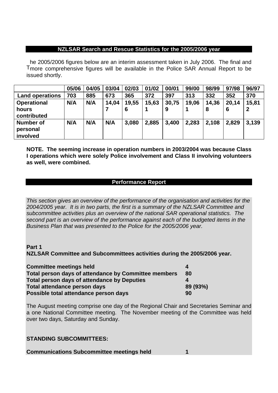#### **NZLSAR Search and Rescue Statistics for the 2005/2006 year**

Tmore comprehensive figures will be available in the Police SAR Annual Report to be he 2005/2006 figures below are an interim assessment taken in July 2006. The final and issued shortly.

|                                          | 05/06 | 04/05 | 03/04 | 02/03 | 01/02 | 00/01 | 99/00 | 98/99 | 97/98 | 96/97 |
|------------------------------------------|-------|-------|-------|-------|-------|-------|-------|-------|-------|-------|
| <b>Land operations</b>                   | 703   | 885   | 673   | 365   | 372   | 397   | 313   | 332   | 352   | 370   |
| <b>Operational</b>                       | N/A   | N/A   | 14,04 | 19,55 | 15,63 | 30,75 | 19,06 | 14,36 | 20,14 | 15,81 |
| hours<br>contributed                     |       |       |       | 6     |       | 9     |       | 8     |       |       |
| <b>Number of</b><br>personal<br>involved | N/A   | N/A   | N/A   | 3,080 | 2,885 | 3,400 | 2,283 | 2,108 | 2,829 | 3,139 |

**NOTE. The seeming increase in operation numbers in 2003/2004 was because Class I operations which were solely Police involvement and Class II involving volunteers as well, were combined.** 

## **Performance Report**

*This section gives an overview of the performance of the organisation and activities for the 2004/2005 year. It is in two parts, the first is a summary of the NZLSAR Committee and subcommittee activities plus an overview of the national SAR operational statistics. The second part is an overview of the performance against each of the budgeted items in the Business Plan that was presented to the Police for the 2005/2006 year.* 

## **Part 1**

**NZLSAR Committee and Subcommittees activities during the 2005/2006 year.** 

| <b>Committee meetings held</b>                       |          |
|------------------------------------------------------|----------|
| Total person days of attendance by Committee members | 80       |
| <b>Total person days of attendance by Deputies</b>   |          |
| Total attendance person days                         | 89 (93%) |
| Possible total attendance person days                | 90       |

The August meeting comprise one day of the Regional Chair and Secretaries Seminar and a one National Committee meeting. The November meeting of the Committee was held over two days, Saturday and Sunday.

## **STANDING SUBCOMMITTEES:**

#### **Communications Subcommittee meetings held 1**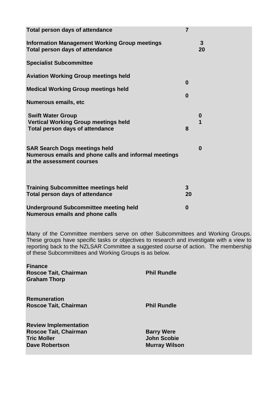| Total person days of attendance                                                                                            | $\overline{7}$     |                      |
|----------------------------------------------------------------------------------------------------------------------------|--------------------|----------------------|
| <b>Information Management Working Group meetings</b><br><b>Total person days of attendance</b>                             |                    | $\overline{3}$<br>20 |
| <b>Specialist Subcommittee</b>                                                                                             |                    |                      |
| <b>Aviation Working Group meetings held</b>                                                                                |                    |                      |
| <b>Medical Working Group meetings held</b>                                                                                 | $\bf{0}$           |                      |
| Numerous emails, etc                                                                                                       | $\bf{0}$           |                      |
| <b>Swift Water Group</b><br><b>Vertical Working Group meetings held</b><br>Total person days of attendance                 | 8                  | $\boldsymbol{0}$     |
| <b>SAR Search Dogs meetings held</b><br>Numerous emails and phone calls and informal meetings<br>at the assessment courses |                    | $\bf{0}$             |
| <b>Training Subcommittee meetings held</b><br><b>Total person days of attendance</b>                                       | $\mathbf{3}$<br>20 |                      |
| <b>Underground Subcommittee meeting held</b><br><b>Numerous emails and phone calls</b>                                     | $\bf{0}$           |                      |

Many of the Committee members serve on other Subcommittees and Working Groups. These groups have specific tasks or objectives to research and investigate with a view to reporting back to the NZLSAR Committee a suggested course of action. The membership of these Subcommittees and Working Groups is as below.

| <b>Roscoe Tait, Chairman</b><br><b>Graham Thorp</b>                                                         | <b>Phil Rundle</b>                                              |
|-------------------------------------------------------------------------------------------------------------|-----------------------------------------------------------------|
| <b>Remuneration</b><br><b>Roscoe Tait, Chairman</b>                                                         | <b>Phil Rundle</b>                                              |
| <b>Review Implementation</b><br><b>Roscoe Tait, Chairman</b><br><b>Tric Moller</b><br><b>Dave Robertson</b> | <b>Barry Were</b><br><b>John Scobie</b><br><b>Murray Wilson</b> |

**Finance**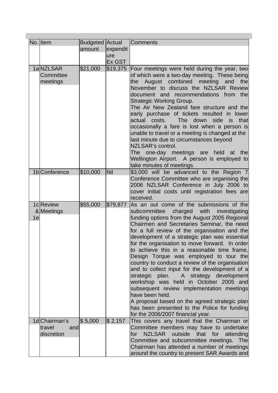|    | No. Item      | <b>Budgeted Actual</b> |            | <b>Comments</b>                                                                                   |
|----|---------------|------------------------|------------|---------------------------------------------------------------------------------------------------|
|    |               | amount                 | expendit   |                                                                                                   |
|    |               |                        | ure        |                                                                                                   |
|    |               |                        | Ex GST     |                                                                                                   |
|    | 1aNZLSAR      | \$21,000               | \$19,375   | Four meetings were held during the year, two                                                      |
|    | Committee     |                        |            | of which were a two-day meeting. These being                                                      |
|    | meetings      |                        |            | the August combined meeting and<br>the                                                            |
|    |               |                        |            | November to discuss the NZLSAR Review                                                             |
|    |               |                        |            | document and recommendations from the                                                             |
|    |               |                        |            | <b>Strategic Working Group.</b>                                                                   |
|    |               |                        |            | The Air New Zealand fare structure and the                                                        |
|    |               |                        |            | early purchase of tickets resulted in lower<br>actual costs.<br>The down side<br>that             |
|    |               |                        |            | is<br>occasionally a fare is lost when a person is                                                |
|    |               |                        |            | unable to travel or a meeting is changed at the                                                   |
|    |               |                        |            | last minute due to circumstances beyond                                                           |
|    |               |                        |            | NZLSAR's control.                                                                                 |
|    |               |                        |            | The one-day meetings are held at the                                                              |
|    |               |                        |            | Wellington Airport. A person is employed to                                                       |
|    |               |                        |            | take minutes of meetings.                                                                         |
|    | 1b Conference | \$10,000               | <b>Nil</b> | \$3,000 will be advanced to the Region 7                                                          |
|    |               |                        |            | Conference Committee who are organising the                                                       |
|    |               |                        |            | 2006 NZLSAR Conference in July 2006 to                                                            |
|    |               |                        |            | cover initial costs until registration fees are                                                   |
|    |               |                        |            | received.                                                                                         |
|    | 1c Review     | \$55,000               | \$79,877   | As an out come of the submissions of the                                                          |
| 1e | &Meetings     |                        |            | subcommittee<br>charged<br>with<br>investigating<br>funding options from the August 2005 Regional |
|    |               |                        |            | Chairmen and Secretaries Seminar, the need                                                        |
|    |               |                        |            | for a full review of the organisation and the                                                     |
|    |               |                        |            | development of a strategic plan was essential                                                     |
|    |               |                        |            | for the organisation to move forward. In order                                                    |
|    |               |                        |            | to achieve this in a reasonable time frame,                                                       |
|    |               |                        |            | Design Torque was employed to tour the                                                            |
|    |               |                        |            | country to conduct a review of the organisation                                                   |
|    |               |                        |            | and to collect input for the development of a                                                     |
|    |               |                        |            | A strategy development<br>strategic plan.                                                         |
|    |               |                        |            | workshop was held in October 2005 and                                                             |
|    |               |                        |            | subsequent review implementation meetings<br>have been held.                                      |
|    |               |                        |            | A proposal based on the agreed strategic plan                                                     |
|    |               |                        |            | has been presented to the Police for funding                                                      |
|    |               |                        |            | for the 2006/2007 financial year.                                                                 |
|    | 1d Chairman's | \$5,000                | \$2,157    | This covers any travel that the Chairman or                                                       |
|    | travel<br>and |                        |            | Committee members may have to undertake                                                           |
|    | discretion    |                        |            | NZLSAR outside that for attending<br>for                                                          |
|    |               |                        |            | Committee and subcommittee meetings. The                                                          |
|    |               |                        |            | Chairman has attended a number of meetings                                                        |
|    |               |                        |            | around the country to present SAR Awards and                                                      |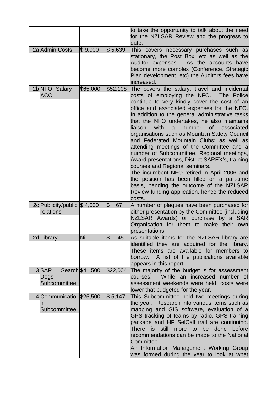|                                            |                 |                                | to take the opportunity to talk about the need<br>for the NZLSAR Review and the progress to<br>date.                                                                                                                                                                                                                                                                                                                                                                                                                                                                                                                                                                                                                                                                                                                           |
|--------------------------------------------|-----------------|--------------------------------|--------------------------------------------------------------------------------------------------------------------------------------------------------------------------------------------------------------------------------------------------------------------------------------------------------------------------------------------------------------------------------------------------------------------------------------------------------------------------------------------------------------------------------------------------------------------------------------------------------------------------------------------------------------------------------------------------------------------------------------------------------------------------------------------------------------------------------|
| 2a Admin Costs                             | \$9,000         | \$5,639                        | This covers necessary purchases such as<br>stationary, the Post Box, etc as well as the<br>Auditor expenses.<br>As the accounts have<br>become more complex (Conference, Strategic<br>Plan development, etc) the Auditors fees have<br>increased.                                                                                                                                                                                                                                                                                                                                                                                                                                                                                                                                                                              |
| $2b NFO$ Salary $+$ \$65,000<br><b>ACC</b> |                 | \$52,108                       | The covers the salary, travel and incidental<br>costs of employing the NFO. The Police<br>continue to very kindly cover the cost of an<br>office and associated expenses for the NFO.<br>In addition to the general administrative tasks<br>that the NFO undertakes, he also maintains<br>liaison<br>with<br>number<br>of<br>associated<br>a<br>organisations such as Mountain Safety Council<br>and Federated Mountain Clubs; as well as<br>attending meetings of the Committee and a<br>number of Subcommittee, Regional meetings,<br>Award presentations, District SAREX's, training<br>courses and Regional seminars.<br>The incumbent NFO retired in April 2006 and<br>the position has been filled on a part-time<br>basis, pending the outcome of the NZLSAR<br>Review funding application, hence the reduced<br>costs. |
| 2c Publicity/public \$4,000                |                 | $\overline{\mathcal{S}}$<br>67 | A number of plaques have been purchased for                                                                                                                                                                                                                                                                                                                                                                                                                                                                                                                                                                                                                                                                                                                                                                                    |
| relations                                  |                 |                                | either presentation by the Committee (including<br>NZLSAR Awards) or purchase by a SAR<br>Organisation for them to make their own<br>presentations                                                                                                                                                                                                                                                                                                                                                                                                                                                                                                                                                                                                                                                                             |
| 2d Library                                 | Nil             | $\overline{\mathcal{S}}$<br>45 | As suitable items for the NZLSAR library are                                                                                                                                                                                                                                                                                                                                                                                                                                                                                                                                                                                                                                                                                                                                                                                   |
|                                            |                 |                                | identified they are acquired for the library.<br>These items are available for members to<br>A list of the publications available<br>borrow.<br>appears in this report.                                                                                                                                                                                                                                                                                                                                                                                                                                                                                                                                                                                                                                                        |
| 3SAR<br>Dogs<br>Subcommittee               | Search \$41,500 | \$22,004                       | The majority of the budget is for assessment<br>While an increased number of<br>courses.<br>assessment weekends were held, costs were<br>lower that budgeted for the year.                                                                                                                                                                                                                                                                                                                                                                                                                                                                                                                                                                                                                                                     |
| 4 Communicatio \$25,500                    |                 | \$5,147                        | This Subcommittee held two meetings during                                                                                                                                                                                                                                                                                                                                                                                                                                                                                                                                                                                                                                                                                                                                                                                     |
| n<br>Subcommittee                          |                 |                                | the year. Research into various items such as<br>mapping and GIS software, evaluation of a<br>GPS tracking of teams by radio, GPS training<br>package and HF SelCall trail are continuing.<br>done<br>There is still more to<br>be<br>before<br>recommendations can be made to the National                                                                                                                                                                                                                                                                                                                                                                                                                                                                                                                                    |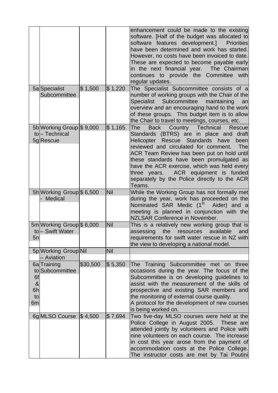|                |                                    |          |             | enhancement could be made to the existing<br>software. [Half of the budget was allocated to<br>software features development.]<br><b>Priorities</b><br>have been determined and work has started.<br>However, no costs have been invoiced to date.<br>These are expected to become payable early<br>in the next financial year. The Chairman<br>continues to provide the Committee with<br>regular updates. |
|----------------|------------------------------------|----------|-------------|-------------------------------------------------------------------------------------------------------------------------------------------------------------------------------------------------------------------------------------------------------------------------------------------------------------------------------------------------------------------------------------------------------------|
|                | 5a Specialist                      | \$1,500  | $\$\,1,220$ | The Specialist Subcommittee consists of a                                                                                                                                                                                                                                                                                                                                                                   |
|                | Subcommittee                       |          |             | number of working groups with the Chair of the<br>Specialist Subcommittee<br>maintaining<br>an<br>overview and an encouraging hand to the work<br>of these groups. This budget item is to allow<br>the Chair to travel to meetings, courses, etc.                                                                                                                                                           |
|                | 5b Working Group \$9,000           |          | $\$\,1,165$ | Country<br>Technical<br><b>Back</b><br>The<br><b>Rescue</b>                                                                                                                                                                                                                                                                                                                                                 |
|                | to-Technical<br>5g Rescue          |          |             | Standards (BTRS) are in place and draft<br>Helicopter Rescue Standards<br>have<br>been<br>reviewed and circulated for comment.<br>The                                                                                                                                                                                                                                                                       |
|                |                                    |          |             | ACR Team Review has been put on hold until<br>these standards have been promulgated as<br>have the ACR exercise, which was held every<br>ACR equipment is funded<br>three years.<br>separately by the Police directly to the ACR<br>Teams.                                                                                                                                                                  |
|                | 5h Working Group \$ 6,500          |          | Nil         | While the Working Group has not formally met                                                                                                                                                                                                                                                                                                                                                                |
|                | Medical                            |          |             | during the year, work has proceeded on the<br>Nominated SAR Medic (1 <sup>st</sup><br>Aider) and a<br>meeting is planned in conjunction with the<br>NZLSAR Conference in November.                                                                                                                                                                                                                          |
|                | 5m Working Group \$ 6,000          |          | Nil         | This is a relatively new working group that is                                                                                                                                                                                                                                                                                                                                                              |
|                | tol-Swift Water                    |          |             | available<br>assessing<br>the<br>resources<br>and                                                                                                                                                                                                                                                                                                                                                           |
| 5n             |                                    |          |             | requirements for swift water rescue in NZ with<br>the view to developing a national model.                                                                                                                                                                                                                                                                                                                  |
|                | 5p Working Group Nil<br>- Aviation |          | Nil         |                                                                                                                                                                                                                                                                                                                                                                                                             |
|                | 6a Training                        | \$30,500 | \$5,350     | The Training Subcommittee met on three                                                                                                                                                                                                                                                                                                                                                                      |
|                | to Subcommittee                    |          |             | occasions during the year. The focus of the                                                                                                                                                                                                                                                                                                                                                                 |
| 6f             |                                    |          |             | Subcommittee is on developing guidelines to                                                                                                                                                                                                                                                                                                                                                                 |
| &              |                                    |          |             | assist with the measurement of the skills of                                                                                                                                                                                                                                                                                                                                                                |
| 6h             |                                    |          |             | prospective and existing SAR members and                                                                                                                                                                                                                                                                                                                                                                    |
| to             |                                    |          |             | the monitoring of external course quality.                                                                                                                                                                                                                                                                                                                                                                  |
| 6 <sub>m</sub> |                                    |          |             | A protocol for the development of new courses                                                                                                                                                                                                                                                                                                                                                               |
|                | 6g MLSO Course $\vert$ \$4,500     |          | \$7,694     | is being worked on.<br>Two five-day MLSO courses were held at the                                                                                                                                                                                                                                                                                                                                           |
|                |                                    |          |             | Police College in August 2005. These are<br>attended jointly by volunteers and Police with<br>nine volunteers on each course. The increase<br>in cost this year arose from the payment of<br>accommodation costs at the Police College.                                                                                                                                                                     |
|                |                                    |          |             | The instructor costs are met by Tai Poutini                                                                                                                                                                                                                                                                                                                                                                 |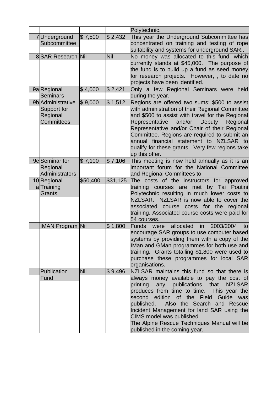|                                                                   |            |            | Polytechnic.                                                                                                                                                                                                                                                                                                                                                                                                                                         |
|-------------------------------------------------------------------|------------|------------|------------------------------------------------------------------------------------------------------------------------------------------------------------------------------------------------------------------------------------------------------------------------------------------------------------------------------------------------------------------------------------------------------------------------------------------------------|
| 7Underground<br>Subcommittee                                      | \$7,500    | \$2,432    | This year the Underground Subcommittee has<br>concentrated on training and testing of rope<br>suitability and systems for underground SAR                                                                                                                                                                                                                                                                                                            |
| 8 SAR Research Nil                                                |            | <b>Nil</b> | No money was allocated to this fund, which<br>currently stands at \$45,000. The purpose of<br>the fund is to build up a fund as seed money<br>for research projects. However, , to date no<br>projects have been identified.                                                                                                                                                                                                                         |
| 9a Regional<br>Seminars                                           | \$4,000    | \$2,421    | Only a few Regional Seminars were held<br>during the year.                                                                                                                                                                                                                                                                                                                                                                                           |
| 9b Administrative<br>Support for<br>Regional<br><b>Committees</b> | \$9,000    | \$1,512    | Regions are offered two sums; \$500 to assist<br>with administration of their Regional Committee<br>and \$500 to assist with travel for the Regional<br>and/or<br>Representative<br>Deputy<br>Regional<br>Representative and/or Chair of their Regional<br>Committee. Regions are required to submit an<br>annual financial statement to NZLSAR to<br>qualify for these grants. Very few regions take<br>up this offer.                              |
| 9c Seminar for<br>Regional<br>Administrators                      | \$7,100    | \$7,106    | This meeting is now held annually as it is an<br>important forum for the National Committee<br>and Regional Committees to                                                                                                                                                                                                                                                                                                                            |
| 10 Regional<br>aTraining<br><b>Grants</b>                         | \$50,400   | \$31,125   | The costs of the instructors for approved<br>training courses are met<br>by Tai Poutini<br>Polytechnic resulting in much lower costs to<br>NZLSAR. NZLSAR is now able to cover the<br>associated<br>course costs for the<br>regional<br>training. Associated course costs were paid for<br>54 courses.                                                                                                                                               |
| <b>IMAN Program Nil</b>                                           |            | \$1,800    | allocated<br>2003/2004<br><b>Funds</b><br>in<br>were<br>tol<br>encourage SAR groups to use computer based<br>systems by providing them with a copy of the<br>IMan and GMan programmes for both use and<br>training. Grants totalling \$1,800 were used to<br>purchase these programmes for local SAR<br>organisations.                                                                                                                               |
| Publication<br>Fund                                               | <b>Nil</b> | \$9,496    | NZLSAR maintains this fund so that there is<br>always money available to pay the cost of<br>printing<br>any publications<br>that<br><b>NZLSAR</b><br>produces from time to time. This year the<br>second edition of the Field<br>Guide<br>was<br>published.<br>Also the Search and Rescue<br>Incident Management for land SAR using the<br>CIMS model was published.<br>The Alpine Rescue Techniques Manual will be<br>published in the coming year. |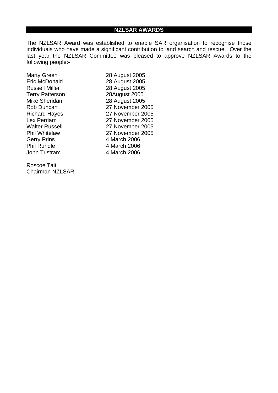The NZLSAR Award was established to enable SAR organisation to recognise those individuals who have made a significant contribution to land search and rescue. Over the last year the NZLSAR Committee was pleased to approve NZLSAR Awards to the following people:-

Marty Green 28 August 2005 Eric McDonald 28 August 2005 Russell Miller 28 August 2005 Terry Patterson 28August 2005 Mike Sheridan 28 August 2005 Gerry Prins 4 March 2006 Phil Rundle 4 March 2006 John Tristram 4 March 2006

Roscoe Tait Chairman NZLSAR

Rob Duncan 27 November 2005 Richard Hayes 27 November 2005 Lex Perriam 27 November 2005 Walter Russell 27 November 2005 Phil Whitelaw 27 November 2005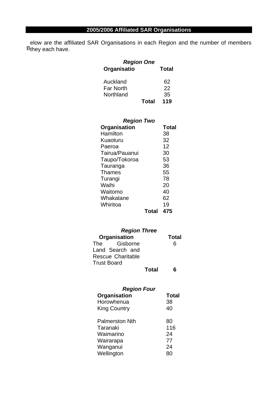B<sub>they each have.</sub> elow are the affiliated SAR Organisations in each Region and the number of members

| <b>Region One</b> |              |              |
|-------------------|--------------|--------------|
| Organisatio       |              | <b>Total</b> |
| Auckland          |              | 62           |
| Far North         |              | 22           |
| Northland         |              | 35           |
|                   | <b>Total</b> | 119          |

| <b>Region Two</b> |       |              |
|-------------------|-------|--------------|
| Organisation      |       | <b>Total</b> |
| Hamilton          |       | 38           |
| Kuaoturu          |       | 32           |
| Paeroa            |       | 12           |
| Tairua/Pauanui    |       | 30           |
| Taupo/Tokoroa     |       | 53           |
| Tauranga          |       | 36           |
| Thames            |       | 55           |
| Turangi           |       | 78           |
| Waihi             |       | 20           |
| Waitomo           |       | 40           |
| Whakatane         |       | 62           |
| Whiritoa          |       | 19           |
|                   | Total | 475          |

| <b>Region Three</b>      |       |              |  |  |
|--------------------------|-------|--------------|--|--|
| Organisation             |       | <b>Total</b> |  |  |
| Gisborne<br>The          |       | 6            |  |  |
| Land Search and          |       |              |  |  |
| <b>Rescue Charitable</b> |       |              |  |  |
| Trust Board              |       |              |  |  |
|                          | Total |              |  |  |

| <b>Region Four</b>    |              |  |  |
|-----------------------|--------------|--|--|
| <b>Organisation</b>   | <b>Total</b> |  |  |
| Horowhenua            | 38           |  |  |
| <b>King Country</b>   | 40           |  |  |
| <b>Palmerston Nth</b> | 80           |  |  |
| Taranaki              | 116          |  |  |
| Waimarino             | 24           |  |  |
| Wairarapa             | 77           |  |  |
| Wanganui              | 24           |  |  |
| Wellington            | 80           |  |  |